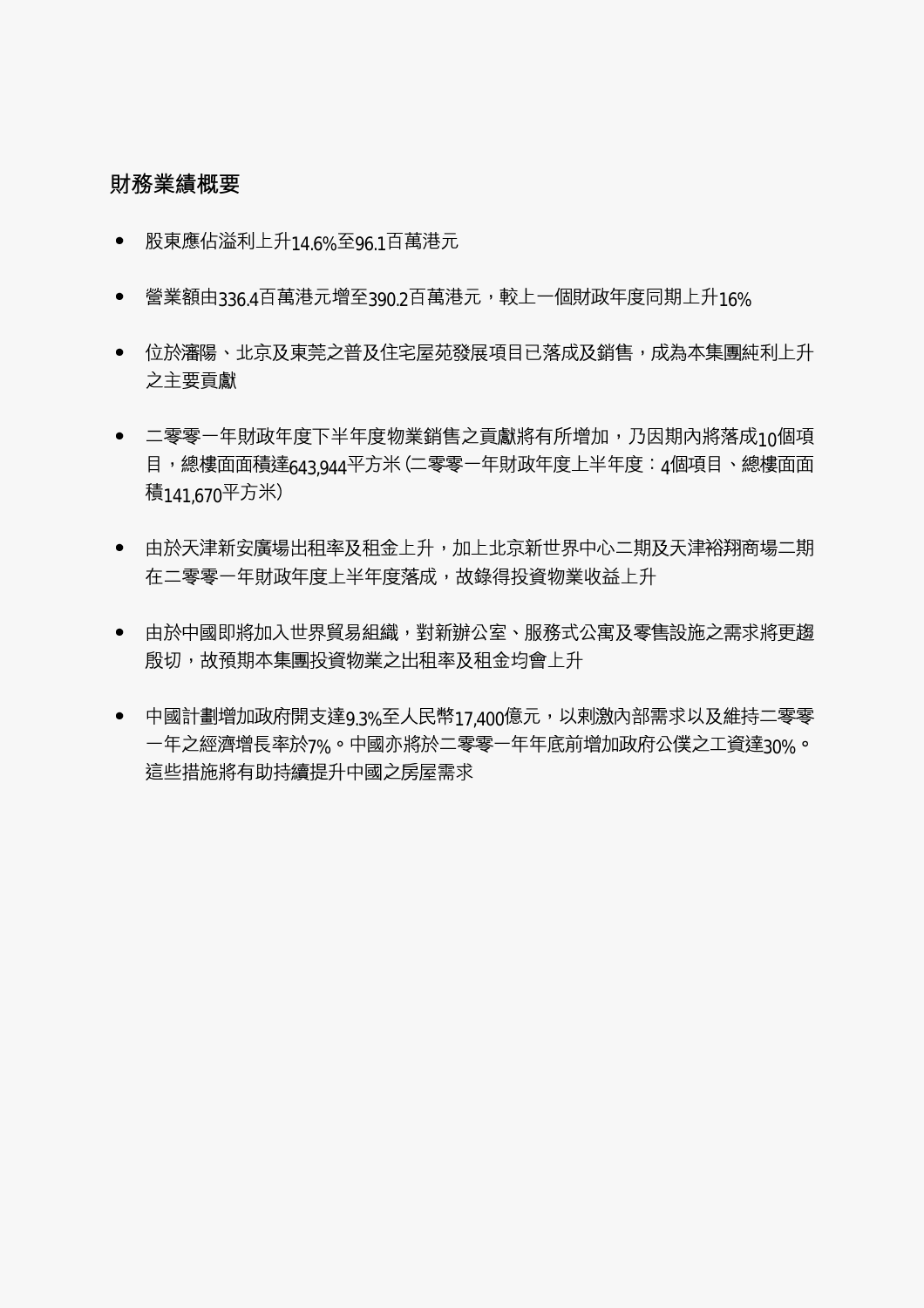# 財務業績概要

- 股東應佔溢利上升14 6%至96.1百萬港元  $\bullet$
- 營業額由336.4百萬港元增至390.2百萬港元,較上一個財政年度同期上升16%
- 位於瀋陽、北京及東莞之普及住宅屋苑發展項目已落成及銷售,成為本集團純利上升 之主要貢獻
- 二零零一年財政年度下半年度物業銷售之貢獻將有所增加,乃因期內將落成10個項 目,總樓面面積達643.944平方米 (二零零一年財政年度上半年度:4個項目、總樓面面 積141670平方米)
- 由於天津新安廣場出租率及租金上升,加上北京新世界中心二期及天津裕翔商場二期  $\bullet$ 在二零零一年財政年度上半年度落成,故錄得投資物業收益上升
- 由於中國即將加入世界貿易組織,對新辦公室、服務式公寓及零售設施之需求將更趨  $\bullet$ 殷切,故預期本集團投資物業之出租率及租金均會上升
- 中國計劃增加政府開支達9.3%至人民幣17.400億元,以剌激內部需求以及維持二零零  $\bullet$ 一年之經濟增長率於7%。中國亦將於二零零一年年底前增加政府公僕之工資達30%。 這些措施將有助持續提升中國之房屋需求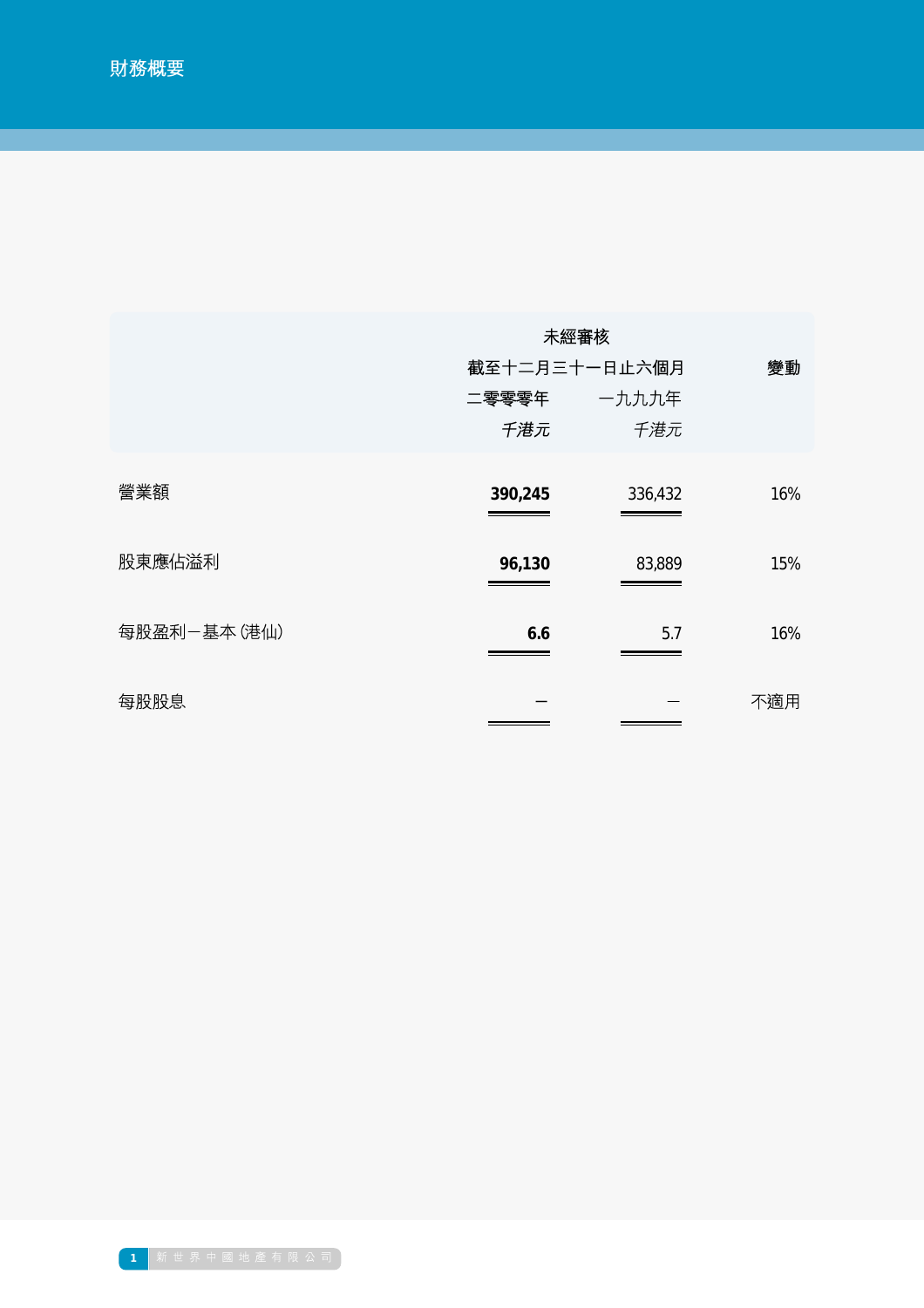|             | 未經審核          |         |     |
|-------------|---------------|---------|-----|
|             | 截至十二月三十一日止六個月 |         | 變動  |
|             | 二零零零年         | 一九九九年   |     |
|             | 千港元           | 千港元     |     |
| 營業額         | 390,245       | 336,432 | 16% |
| 股東應佔溢利      | 96,130        | 83,889  | 15% |
| 每股盈利-基本(港仙) | 6.6           | 5.7     | 16% |
| 每股股息        |               |         | 不適用 |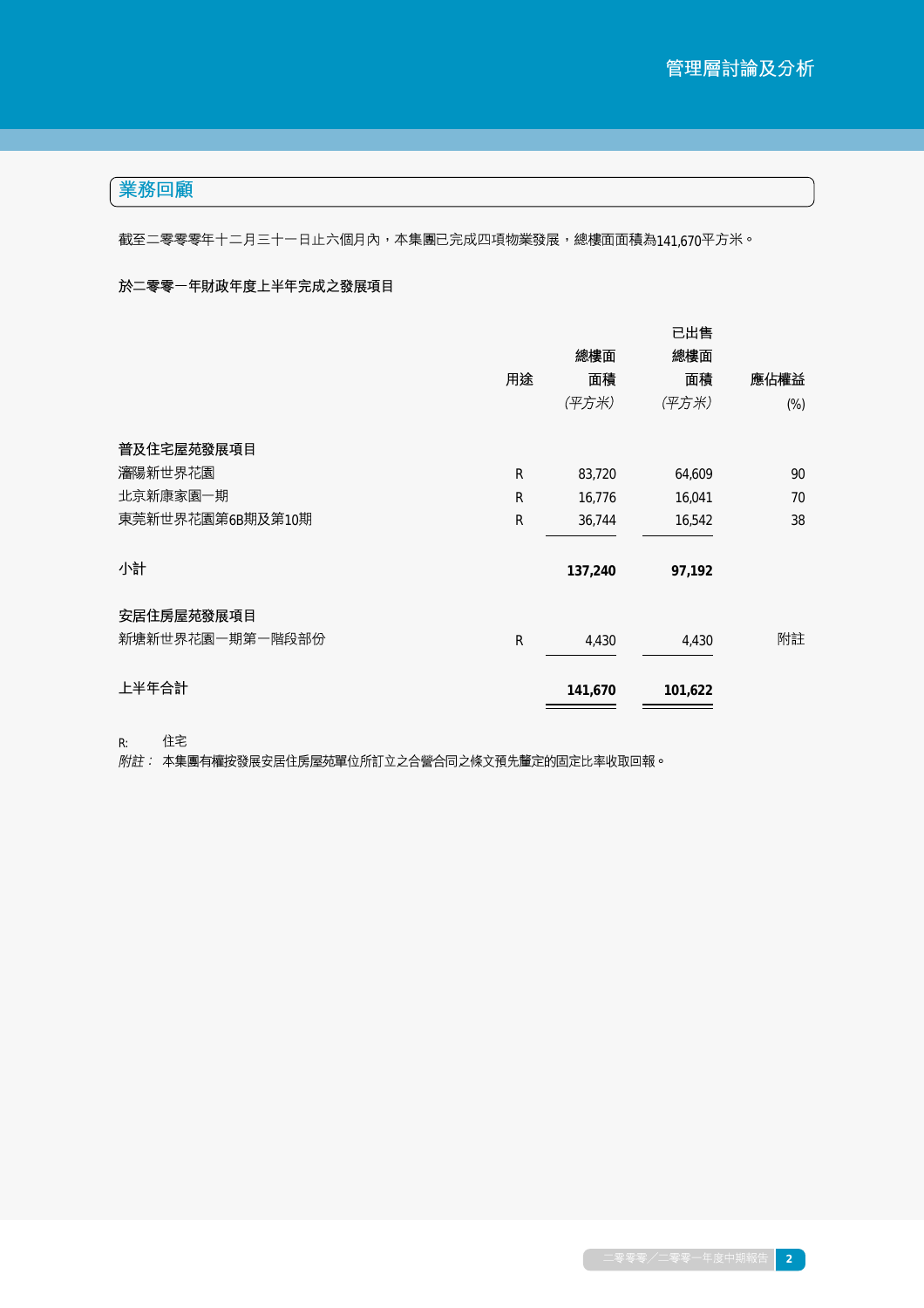# 業務回顧

截至二零零零年十二月三十一日止六個月內,本集團已完成四項物業發展,總樓面面積為141,670平方米。

## 於二零零一年財政年度上半年完成之發展項目

|                  |    |         | 已出售     |        |
|------------------|----|---------|---------|--------|
|                  |    | 總樓面     | 總樓面     |        |
|                  | 用途 | 面積      | 面積      | 應佔權益   |
|                  |    | (平方米)   | (平方米)   | $(\%)$ |
| 普及住宅屋苑發展項目       |    |         |         |        |
| 瀋陽新世界花園          | R  | 83,720  | 64,609  | 90     |
| 北京新康家園一期         | R  | 16,776  | 16,041  | 70     |
| 東莞新世界花園第6B期及第10期 | R  | 36,744  | 16,542  | 38     |
| 小計               |    | 137,240 | 97,192  |        |
| 安居住房屋苑發展項目       |    |         |         |        |
| 新塘新世界花園一期第一階段部份  | R  | 4,430   | 4,430   | 附註     |
| 上半年合計            |    | 141,670 | 101,622 |        |
|                  |    |         |         |        |

住宅

*R*: 住宅<br>*附註:* 本集團有權按發展安居住房屋苑單位所訂立之合營合同之條文預先釐定的固定比率收取回報。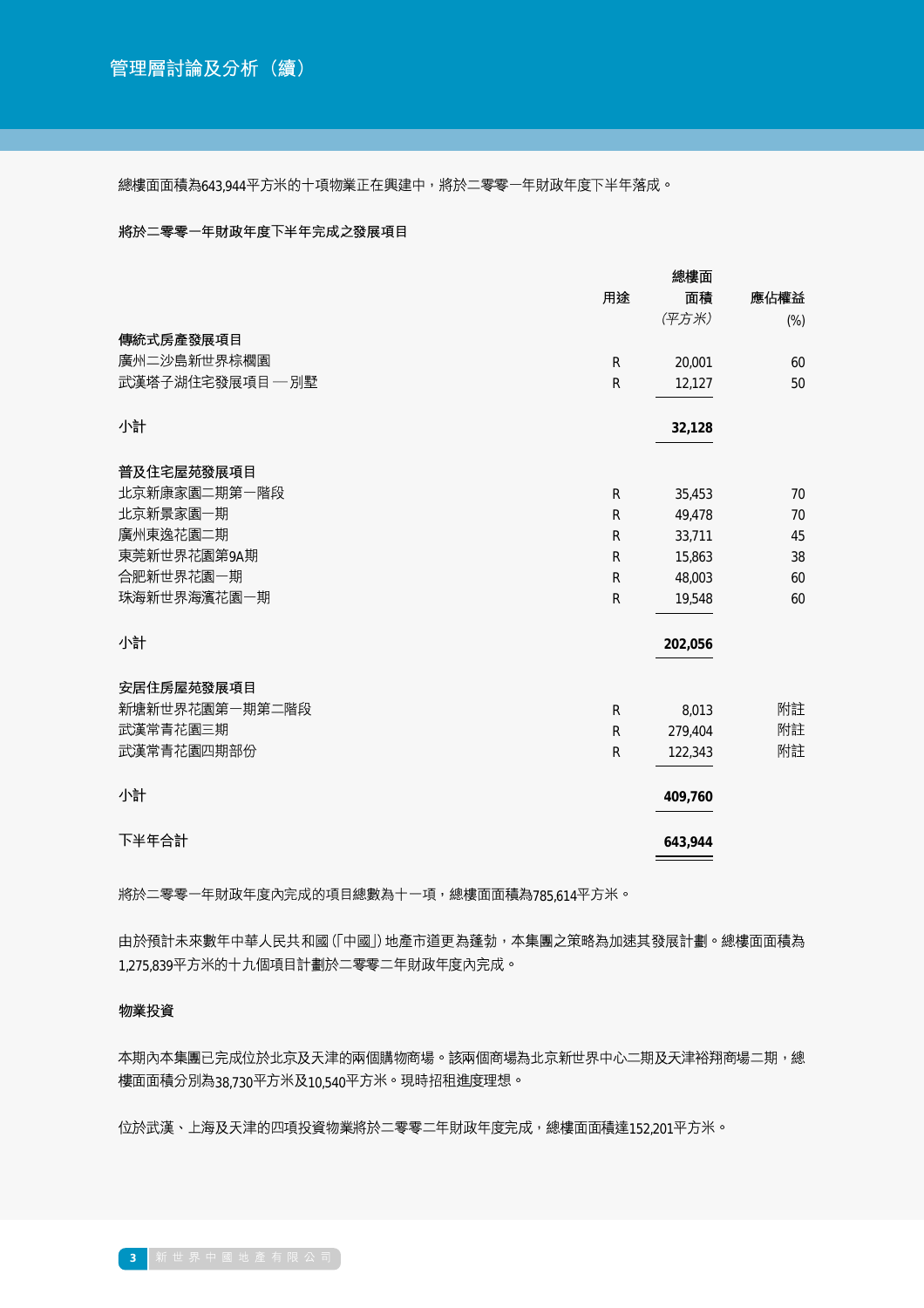總樓面面積為643.944平方米的十項物業正在興建中,將於二零零一年財政年度下半年落成。

### 將於二零零一年財政年度下半年完成之發展項目

|                 |           | 總樓面     |        |
|-----------------|-----------|---------|--------|
|                 | 用途        | 面積      | 應佔權益   |
|                 |           | (平方米)   | $(\%)$ |
| 傳統式房產發展項目       |           |         |        |
| 廣州二沙島新世界棕櫚園     | ${\sf R}$ | 20,001  | 60     |
| 武漢塔子湖住宅發展項目––別墅 | ${\sf R}$ | 12,127  | 50     |
| 小計              |           | 32,128  |        |
| 普及住宅屋苑發展項目      |           |         |        |
| 北京新康家園二期第一階段    | R         | 35,453  | 70     |
| 北京新景家園一期        | R         | 49,478  | 70     |
| 廣州東逸花園二期        | ${\sf R}$ | 33,711  | 45     |
| 東莞新世界花園第9A期     | R         | 15,863  | 38     |
| 合肥新世界花園一期       | R         | 48,003  | 60     |
| 珠海新世界海濱花園一期     | ${\sf R}$ | 19,548  | 60     |
| 小計              |           | 202,056 |        |
| 安居住房屋苑發展項目      |           |         |        |
| 新塘新世界花園第一期第二階段  | R         | 8,013   | 附註     |
| 武漢常青花園三期        | ${\sf R}$ | 279,404 | 附註     |
| 武漢常青花園四期部份      | ${\sf R}$ | 122,343 | 附註     |
| 小計              |           | 409,760 |        |
| 下半年合計           |           | 643,944 |        |

將於二零零一年財政年度內完成的項目總數為十一項,總樓面面積為785.614平方米。

由於預計未來數年中華人民共和國 (「中國」) 地產市道更為蓬勃,本集團之策略為加速其發展計劃。總樓面面積為 1,275,839平方米的十九個項目計劃於二零零二年財政年度內完成。

### 物業投資

本期內本集團已完成位於北京及天津的兩個購物商場。該兩個商場為北京新世界中心二期及天津裕翔商場二期,總 樓面面積分別為38.730平方米及10.540平方米。現時招租進度理想。

位於武漢、上海及天津的四項投資物業將於二零零二年財政年度完成,總樓面面積達152,201平方米。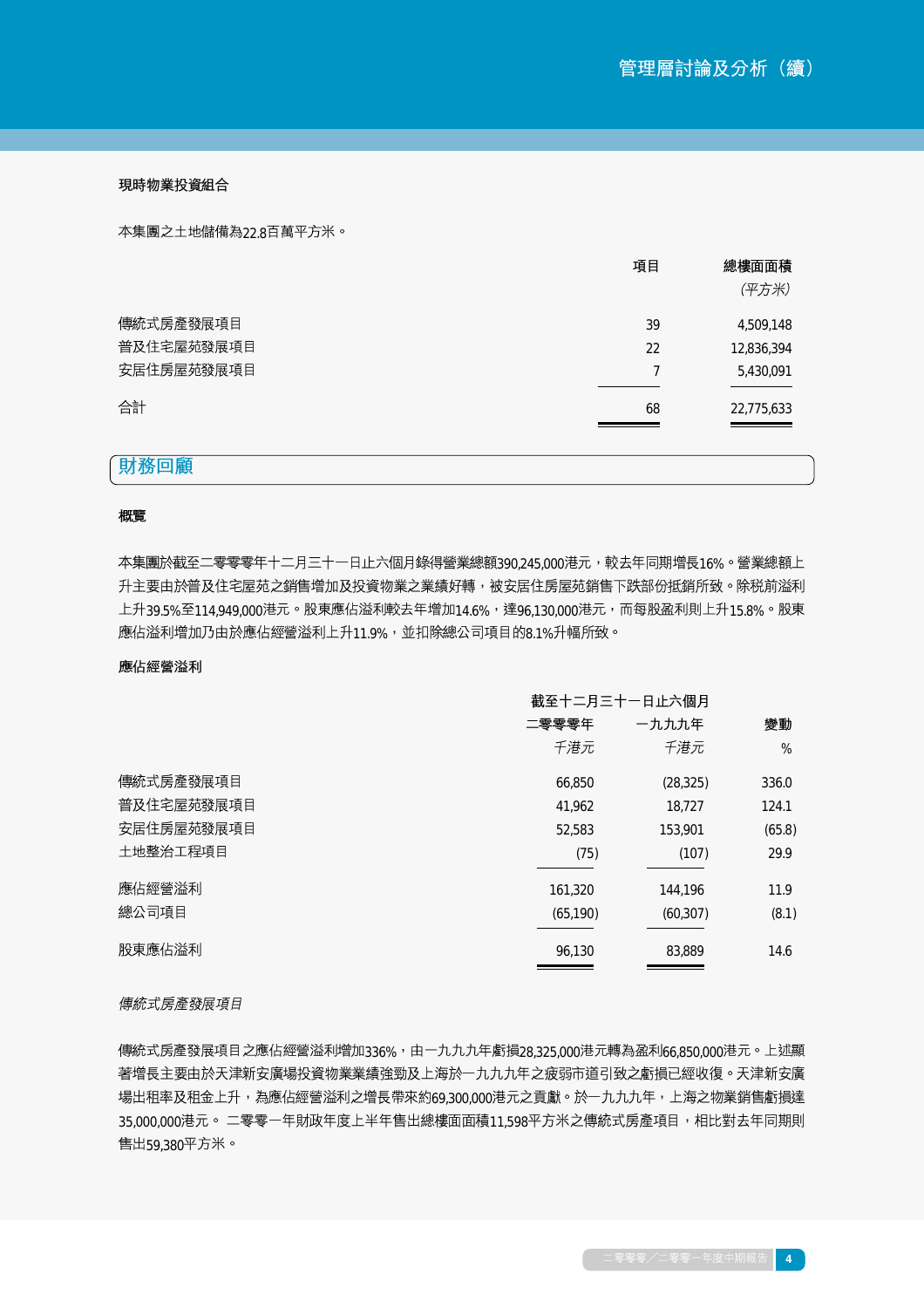現時物業投資組合

本集團之土地儲備為22.8百萬平方米。

| 項目 | 總樓面面積      |
|----|------------|
|    | (平方米)      |
| 39 | 4,509,148  |
| 22 | 12,836,394 |
|    | 5,430,091  |
| 68 | 22,775,633 |
|    |            |

## 財務回顧

### 概覽

本集團於截至二零零零年十二月三十一日止六個月錄得營業總額390,245,000港元,較去年同期增長16%。營業總額上 升主要由於普及住宅屋苑之銷售增加及投資物業之業績好轉,被安居住房屋苑銷售下跌部份抵銷所致。除税前溢利 上升39.5%至114.949,000港元。股東應佔溢利較去年增加14.6%,達96.130.000港元,而每股盈利則上升15.8%。股東 應佔溢利增加乃由於應佔經營溢利上升11.9%,並扣除總公司項目的8.1%升幅所致。

#### 應佔經營溢利

|            | 截至十二月三十一日止六個月 |           |        |
|------------|---------------|-----------|--------|
|            | 二零零零年         | 一九九九年     | 變動     |
|            | 千港元           | 千港元       | %      |
| 傳統式房產發展項目  | 66,850        | (28, 325) | 336.0  |
| 普及住宅屋苑發展項目 | 41,962        | 18,727    | 124.1  |
| 安居住房屋苑發展項目 | 52,583        | 153,901   | (65.8) |
| 土地整治工程項目   | (75)          | (107)     | 29.9   |
| 應佔經營溢利     | 161,320       | 144,196   | 11.9   |
| 總公司項目      | (65, 190)     | (60, 307) | (8.1)  |
| 股東應佔溢利     | 96.130        | 83,889    | 14.6   |

### 傳統式房產發展項目

傳統式房產發展項目之應佔經營溢利增加336%,由一九九九年虧損28,325,000港元轉為盈利66,850,000港元。上述顯 著增長主要由於天津新安廣場投資物業業績強勁及上海於一九九九年之疲弱市道引致之虧損已經收復。天津新安廣 場出租率及租金上升,為應佔經營溢利之增長帶來約69.300.000港元之貢獻。於一九九九年,上海之物業銷售虧損達 35,000,000港元。 二零零一年財政年度上半年售出總樓面面積11,598平方米之傳統式房產項目,相比對去年同期則 售出59,380平方米。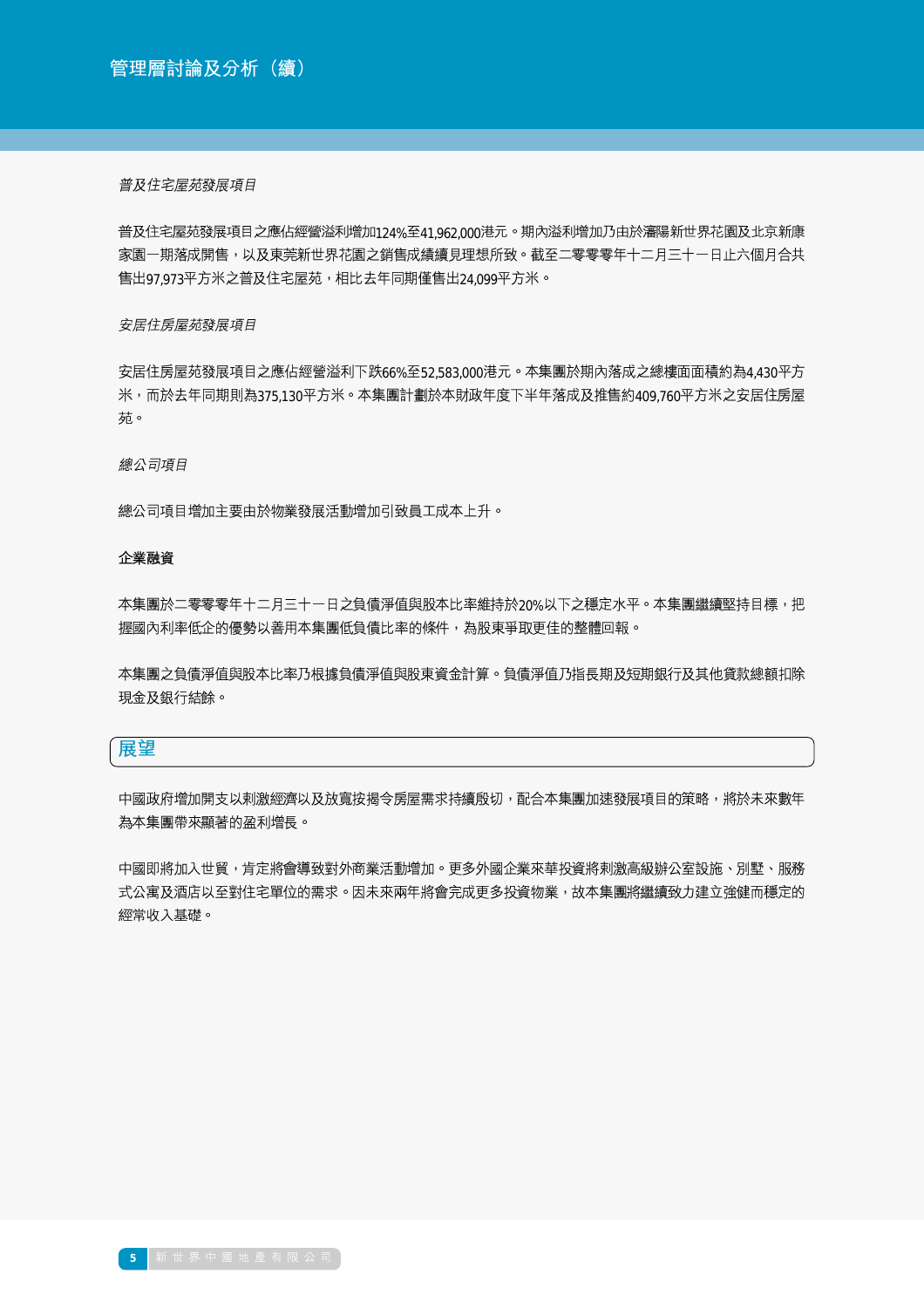### 普及住宅屋苑發展項目

普及住宅屋苑發展項目之應佔經營溢利增加124%至41.962.000港元。期內溢利增加乃由於瀋陽新世界花園及北京新康 家園一期落成開售,以及東莞新世界花園之銷售成績續見理想所致。截至二零零零年十二月三十一日止六個月合共 售出97.973平方米之普及住宅屋苑,相比去年同期僅售出24.099平方米。

## 安居住房屋苑發展項目

安居住房屋苑發展項目之應佔經營溢利下跌66%至52.583.000港元。本集團於期內落成之總樓面面積約為4.430平方 米,而於去年同期則為375.130平方米。本集團計劃於本財政年度下半年落成及推售約409.760平方米之安居住房屋 苑。

### 總公司項目

總公司項目增加主要由於物業發展活動增加引致員工成本上升。

### 企業融資

本集團於二零零零年十二月三十一日之負債淨值與股本比率維持於20%以下之穩定水平。本集團繼續堅持目標,把 握國內利率低企的優勢以善用本集團低負債比率的條件,為股東爭取更佳的整體回報。

本集團之負債淨值與股本比率乃根據負債淨值與股東資金計算。負債淨值乃指長期及短期銀行及其他貸款總額扣除 現金及銀行結餘。

## 展望

中國政府增加開支以剌激經濟以及放寬按揭今房屋需求持續殷切,配合本集團加速發展項目的策略,將於未來數年 為本集團帶來顯著的盈利增長。

中國即將加入世貿,肯定將會導致對外商業活動增加。更多外國企業來華投資將剌激高級辦公室設施、別墅、服務 式公寓及酒店以至對住宅單位的需求。因未來兩年將會完成更多投資物業,故本集團將繼續致力建立強健而穩定的 經常收入基礎。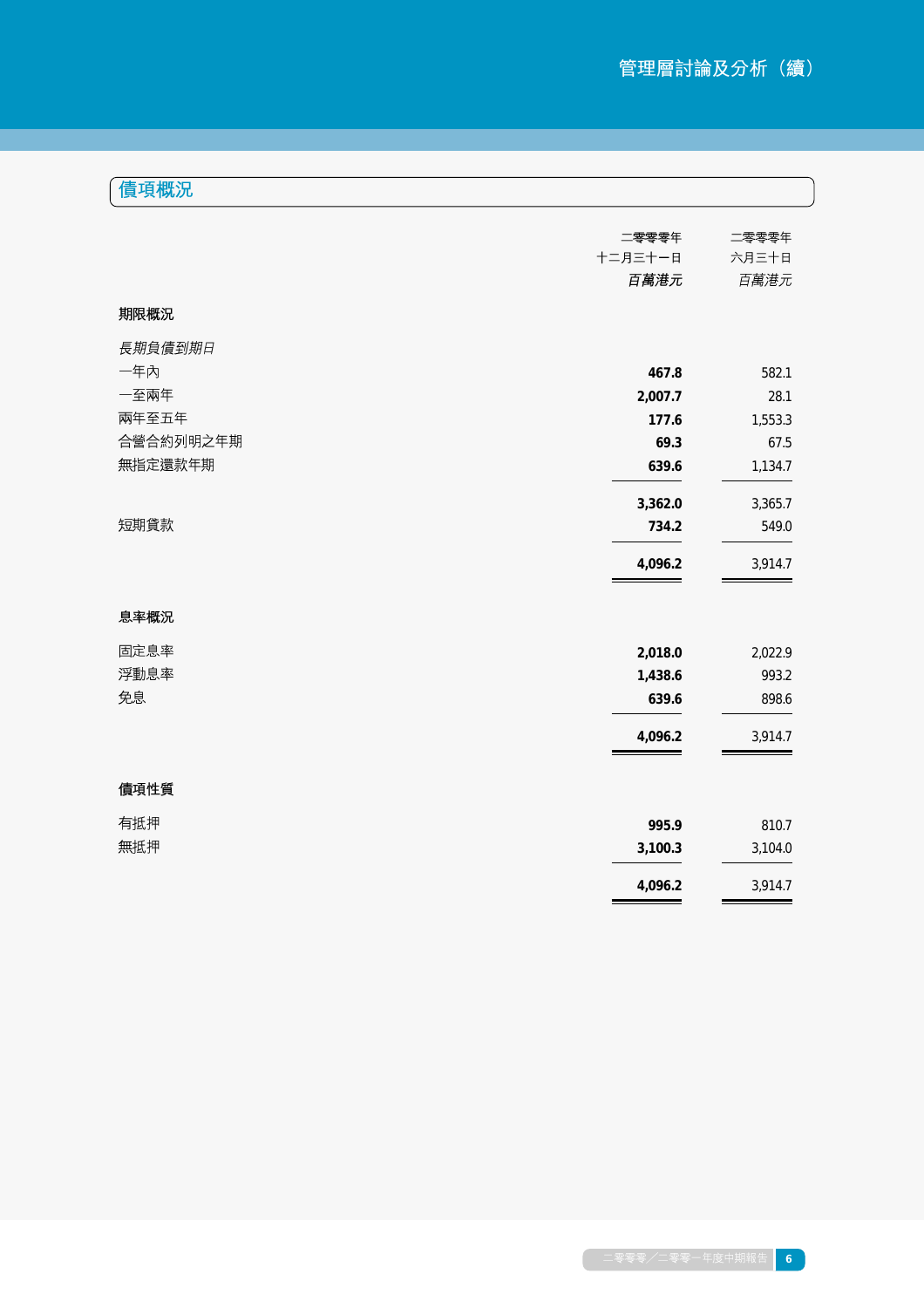|  | 債項概況 |
|--|------|

|           | 二零零零年   | 二零零零年   |
|-----------|---------|---------|
|           | 十二月三十一日 | 六月三十日   |
|           | 百萬港元    | 百萬港元    |
| 期限概況      |         |         |
| 長期負債到期日   |         |         |
| 一年內       | 467.8   | 582.1   |
| 一至兩年      | 2,007.7 | 28.1    |
| 兩年至五年     | 177.6   | 1,553.3 |
| 合營合約列明之年期 | 69.3    | 67.5    |
| 無指定還款年期   | 639.6   | 1,134.7 |
|           | 3,362.0 | 3,365.7 |
| 短期貸款      | 734.2   | 549.0   |
|           | 4,096.2 | 3,914.7 |
| 息率概況      |         |         |
| 固定息率      | 2,018.0 | 2,022.9 |
| 浮動息率      | 1,438.6 | 993.2   |
| 免息        | 639.6   | 898.6   |
|           | 4,096.2 | 3,914.7 |
| 債項性質      |         |         |
| 有抵押       | 995.9   | 810.7   |
| 無抵押       | 3,100.3 | 3,104.0 |
|           | 4,096.2 | 3,914.7 |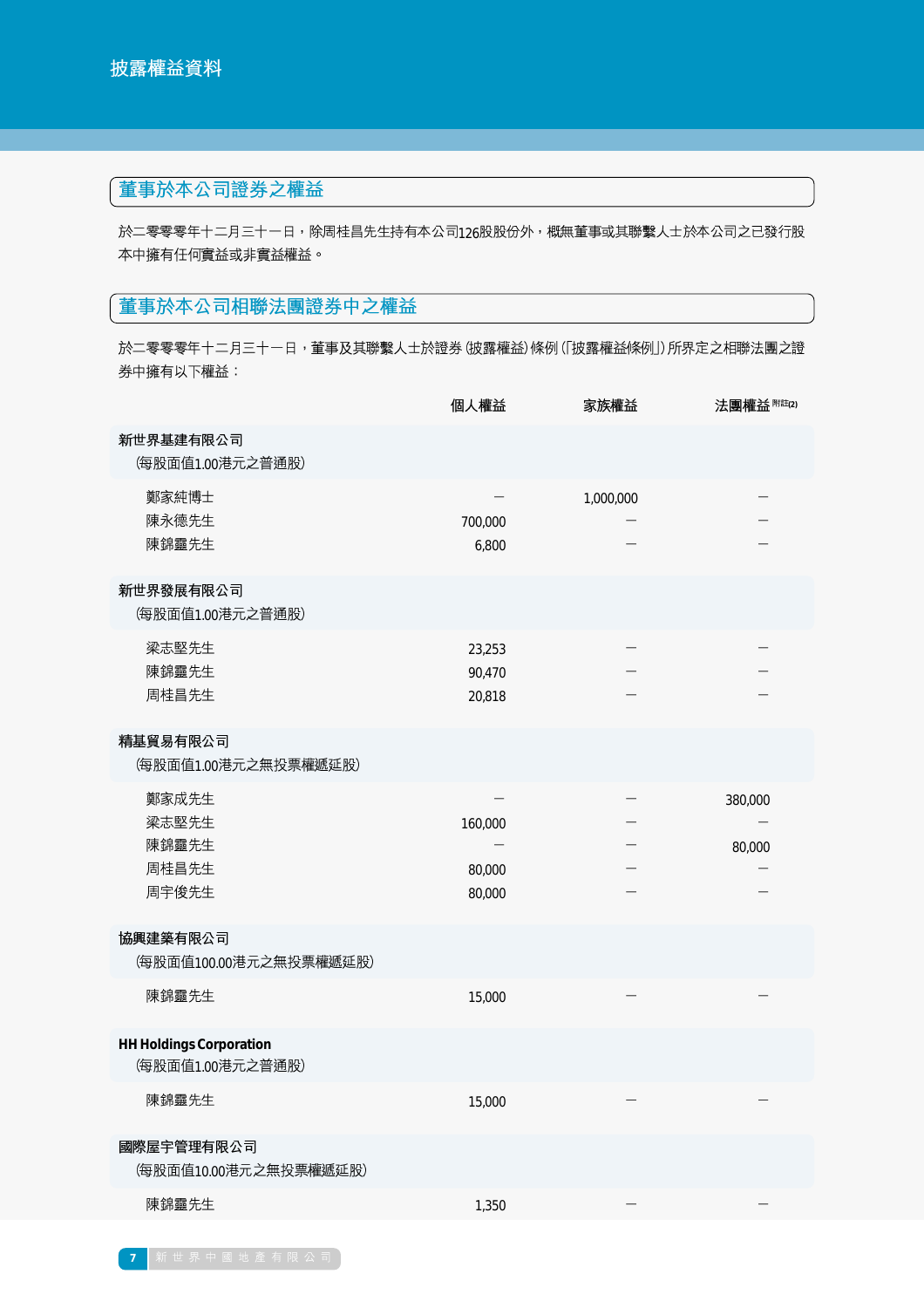# 董事於本公司證券之權益

於二零零零年十二月三十一日,除周桂昌先生持有本公司126股股份外,概無董事或其聯繫人士於本公司之已發行股 本中擁有任何實益或非實益權益。

# 董事於本公司相聯法團證券中之權益

於二零零零年十二月三十一日,董事及其聯繫人士於證券 (披露權益) 條例 (「披露權益條例」) 所界定之相聯法團之證 券中擁有以下權益:

|                                                    | 個人權益                        | 家族權益      | 法團權益 附註(2)        |
|----------------------------------------------------|-----------------------------|-----------|-------------------|
| 新世界基建有限公司<br>(每股面值1.00港元之普通股)                      |                             |           |                   |
| 鄭家純博士<br>陳永德先生<br>陳錦靈先生                            | 700,000<br>6,800            | 1,000,000 |                   |
| 新世界發展有限公司<br>(每股面值1.00港元之普通股)                      |                             |           |                   |
| 梁志堅先生<br>陳錦靈先生<br>周桂昌先生                            | 23,253<br>90,470<br>20,818  |           |                   |
| 精基貿易有限公司<br>(每股面值1.00港元之無投票權遞延股)                   |                             |           |                   |
| 鄭家成先生<br>梁志堅先生<br>陳錦靈先生<br>周桂昌先生<br>周宇俊先生          | 160,000<br>80,000<br>80,000 |           | 380,000<br>80,000 |
| 協興建築有限公司<br>(每股面值100.00港元之無投票權遞延股)                 |                             |           |                   |
| 陳錦靈先生                                              | 15,000                      |           |                   |
| <b>HH Holdings Corporation</b><br>(每股面值1.00港元之普通股) |                             |           |                   |
| 陳錦靈先生                                              | 15,000                      |           |                   |
| 國際屋宇管理有限公司<br>(每股面值10.00港元之無投票權遞延股)                |                             |           |                   |
| 陳錦靈先生                                              | 1,350                       |           |                   |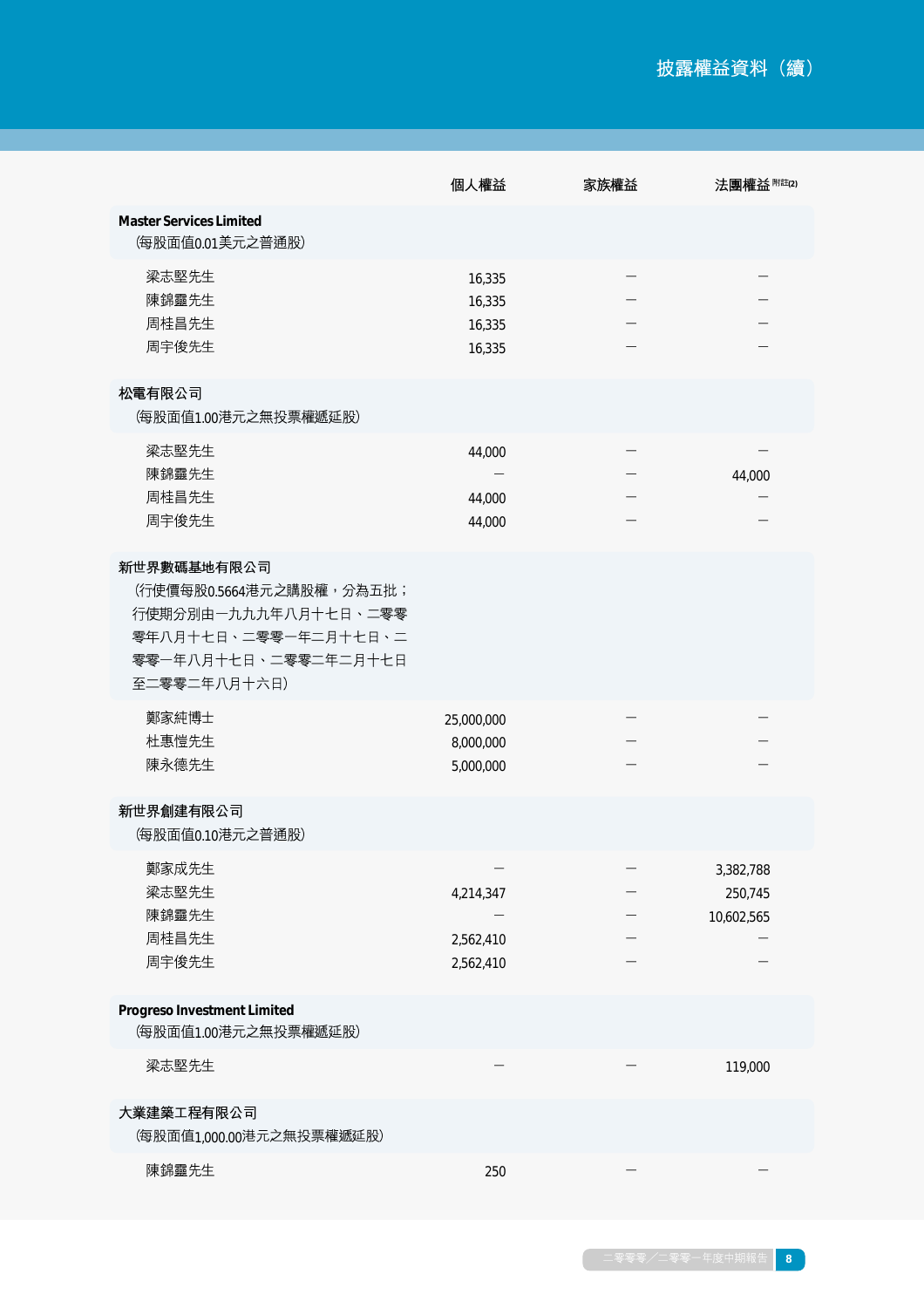|                                                                                                                                 | 個人權益                                 | 家族權益 | 法團權益 附註(2)                         |
|---------------------------------------------------------------------------------------------------------------------------------|--------------------------------------|------|------------------------------------|
| <b>Master Services Limited</b><br>(每股面值0.01美元之普通股)                                                                              |                                      |      |                                    |
| 梁志堅先生<br>陳錦靈先生<br>周桂昌先生<br>周宇俊先生                                                                                                | 16,335<br>16,335<br>16,335<br>16,335 |      |                                    |
| 松電有限公司<br>(每股面值1.00港元之無投票權遞延股)                                                                                                  |                                      |      |                                    |
| 梁志堅先生<br>陳錦靈先生<br>周桂昌先生<br>周宇俊先生                                                                                                | 44,000<br>44,000<br>44,000           |      | 44,000                             |
| 新世界數碼基地有限公司<br>(行使價每股0.5664港元之購股權,分為五批;<br>行使期分別由一九九九年八月十七日、二零零<br>零年八月十七日、二零零一年二月十七日、二<br>零零一年八月十七日、二零零二年二月十七日<br>至二零零二年八月十六日) |                                      |      |                                    |
| 鄭家純博士<br>杜惠愷先生<br>陳永德先生                                                                                                         | 25,000,000<br>8,000,000<br>5,000,000 |      |                                    |
| 新世界創建有限公司<br>(每股面值0.10港元之普通股)                                                                                                   |                                      |      |                                    |
| 鄭家成先生<br>梁志堅先生<br>陳錦靈先生<br>周桂昌先生<br>周宇俊先生                                                                                       | 4,214,347<br>2,562,410<br>2,562,410  |      | 3,382,788<br>250,745<br>10,602,565 |
| <b>Progreso Investment Limited</b><br>(每股面值1.00港元之無投票權遞延股)                                                                      |                                      |      |                                    |
| 梁志堅先生                                                                                                                           |                                      |      | 119,000                            |
| 大業建築工程有限公司<br>(每股面值1,000.00港元之無投票權遞延股)                                                                                          |                                      |      |                                    |
| 陳錦靈先生                                                                                                                           | 250                                  |      |                                    |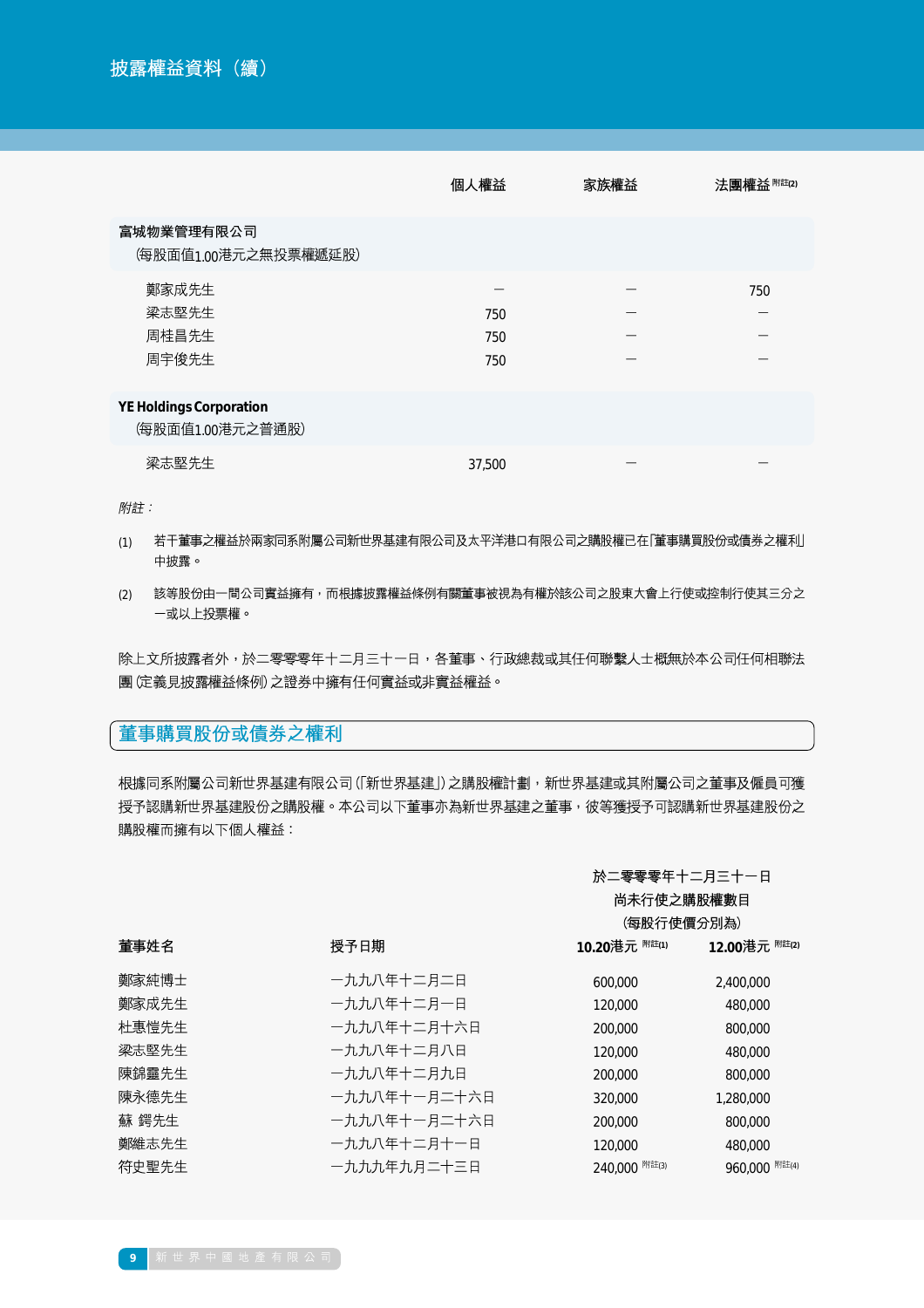|                                                    | 個人權益              | 家族權益 | 法團權益 附註(2) |
|----------------------------------------------------|-------------------|------|------------|
| 富城物業管理有限公司<br>(每股面值1.00港元之無投票權遞延股)                 |                   |      |            |
| 鄭家成先生<br>梁志堅先生<br>周桂昌先生<br>周宇俊先生                   | 750<br>750<br>750 |      | 750        |
| <b>YE Holdings Corporation</b><br>(每股面值1.00港元之普通股) |                   |      |            |
| 梁志堅先生                                              | 37,500            |      |            |

附註:

- (1) 若干董事之權益於兩家同系附屬公司新世界基建有限公司及太平洋港口有限公司之購股權已在「董事購買股份或債券之權利」 中披露。
- 該等股份由一間公司實益擁有,而根據披露權益條例有關董事被視為有權於該公司之股東大會上行使或控制行使其三分之 (2) 一或以上投票權。

除上文所披露者外,於二零零零年十二月三十一日,各董事、行政總裁或其任何聯繫人士概無於本公司任何相聯法 團(定義見披露權益條例)之證券中擁有任何實益或非實益權益。

## 董事購買股份或債券之權利

根據同系附屬公司新世界基建有限公司(「新世界基建」)之購股權計劃,新世界基建或其附屬公司之董事及僱員可獲 授予認購新世界基建股份之購股權。本公司以下董事亦為新世界基建之董事,彼等獲授予可認購新世界基建股份之 購股權而擁有以下個人權益:

## 於二零零零年十二月三十一日

|       |              | 尚未行使之購股權數目<br>(每股行使價分別為) |                          |
|-------|--------------|--------------------------|--------------------------|
| 董事姓名  | 授予日期         | 10.20港元 <sup>附註(1)</sup> | 12.00港元 <sup>附註(2)</sup> |
| 鄭家純博士 | 一九九八年十二月二日   | 600,000                  | 2,400,000                |
| 鄭家成先生 | 一九九八年十二月一日   | 120,000                  | 480,000                  |
| 杜惠愷先生 | 一九九八年十二月十六日  | 200,000                  | 800,000                  |
| 梁志堅先生 | 一九九八年十二月八日   | 120,000                  | 480,000                  |
| 陳錦靈先生 | 一九九八年十二月九日   | 200,000                  | 800,000                  |
| 陳永德先生 | 一九九八年十一月二十六日 | 320,000                  | 1,280,000                |
| 蘇 鍔先生 | 一九九八年十一月二十六日 | 200,000                  | 800,000                  |
| 鄭維志先生 | 一九九八年十二月十一日  | 120,000                  | 480,000                  |
| 符史聖先生 | 一九九九年九月二十三日  | 240,000 附註(3)            | 960,000 附註(4)            |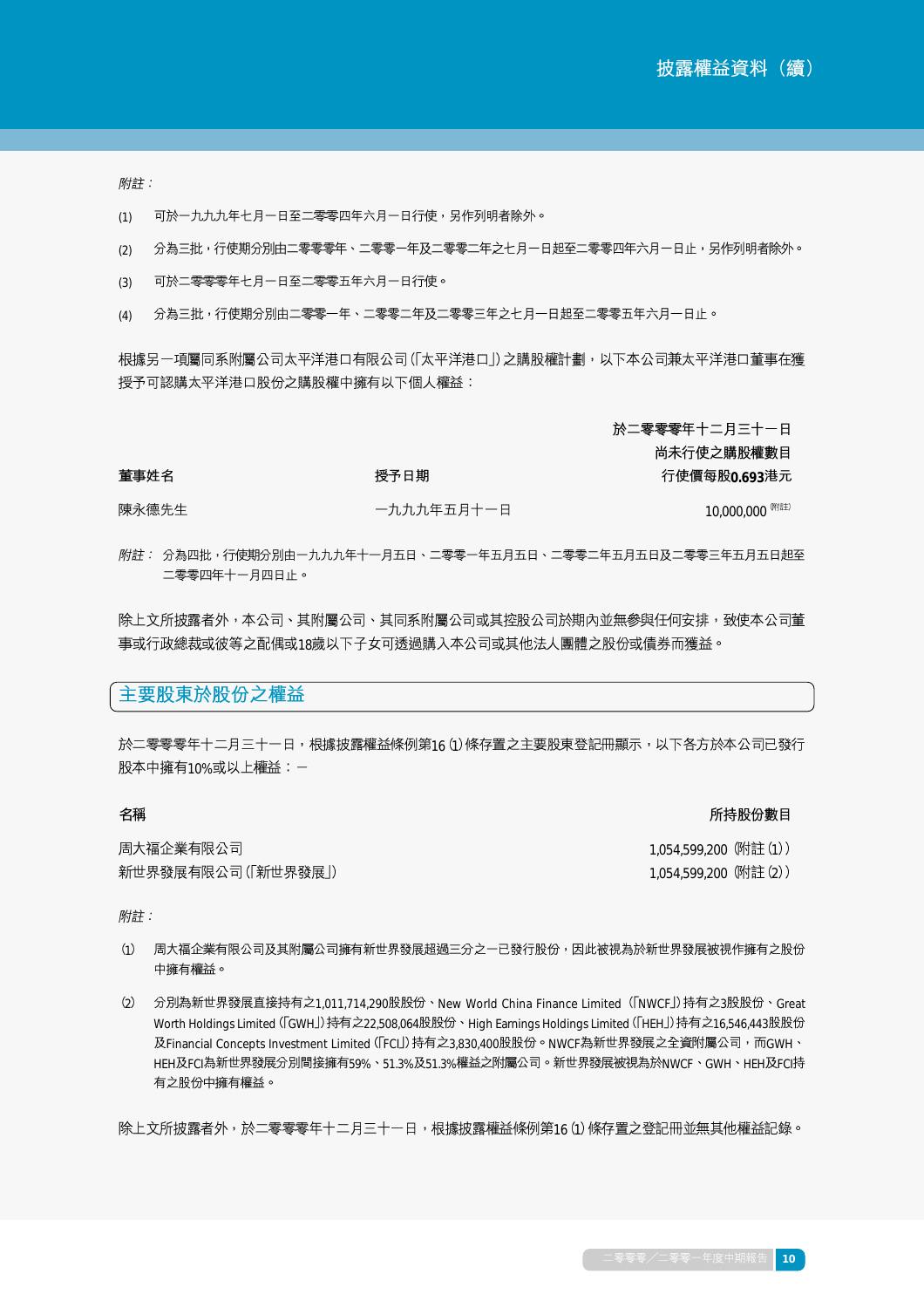附註:

董事姓名

- 可於一九九九年七月一日至二零零四年六月一日行使,另作列明者除外。 (1)
- 分為三批,行使期分別由二零零零年、二零零一年及二零零二年之七月一日起至二零零四年六月一日止,另作列明者除外。 (2)
- 可於二零零零年七月一日至二零零五年六月一日行使。 (3)
- 分為三批,行使期分別由二零零一年、二零零二年及二零零三年之七月一日起至二零零五年六月一日止。 (4)

授予日期

根據另一項屬同系附屬公司太平洋港口有限公司(「太平洋港口」)之購股權計劃,以下本公司兼太平洋港口董事在獲 授予可認購太平洋港口股份之購股權中擁有以下個人權益:

> 於二零零零年十二月三十一日 尚未行使之購股權數目

行使價每股0.693港元

陳永德先生 一九九九年五月十一日

10,000,000 (附註)

附註: 分為四批,行使期分別由一九九九年十一月五日、二零零一年五月五日、二零零二年五月五日及二零零三年五月五日起至 二零零四年十一月四日止。

除上文所披露者外,本公司、其附屬公司、其同系附屬公司或其控股公司於期內並無參與任何安排,致使本公司董 事或行政總裁或彼等之配偶或18歲以下子女可透過購入本公司或其他法人團體之股份或債券而獲益。

## 主要股東於股份之權益

於二零零零年十二月三十一日,根據披露權益條例第16(1)條存置之主要股東登記冊顯示,以下各方於本公司已發行 股本中擁有10%或以上權益:一

### 名稱

所持股份數目

| 周大福企業有限公司          |  |
|--------------------|--|
| 新世界發展有限公司(「新世界發展」) |  |

1,054,599,200 (附註(1)) 1,054,599,200 (附註(2))

附詳:

- (1) 周大福企業有限公司及其附屬公司擁有新世界發展超過三分之一已發行股份,因此被視為於新世界發展被視作擁有之股份 中擁有權益。
- (2) 分別為新世界發展直接持有之1,011,714,290股股份、New World China Finance Limited (「NWCF」)持有之3股股份、Great Worth Holdings Limited (「GWH」)持有之22,508,064股股份、High Earnings Holdings Limited (「HEH」)持有之16,546,443股股份 及Financial Concepts Investment Limited (「FCI」)持有之3,830,400股股份。NWCF為新世界發展之全資附屬公司,而GWH、 HEH及FCI為新世界發展分別間接擁有59%、51.3%及51.3%權益之附屬公司。新世界發展被視為於NWCF、GWH、HEH及FCI持 有之股份中擁有權益。

除上文所披露者外,於二零零零年十二月三十一日,根據披露權益條例第16(1)條存置之登記冊並無其他權益記錄。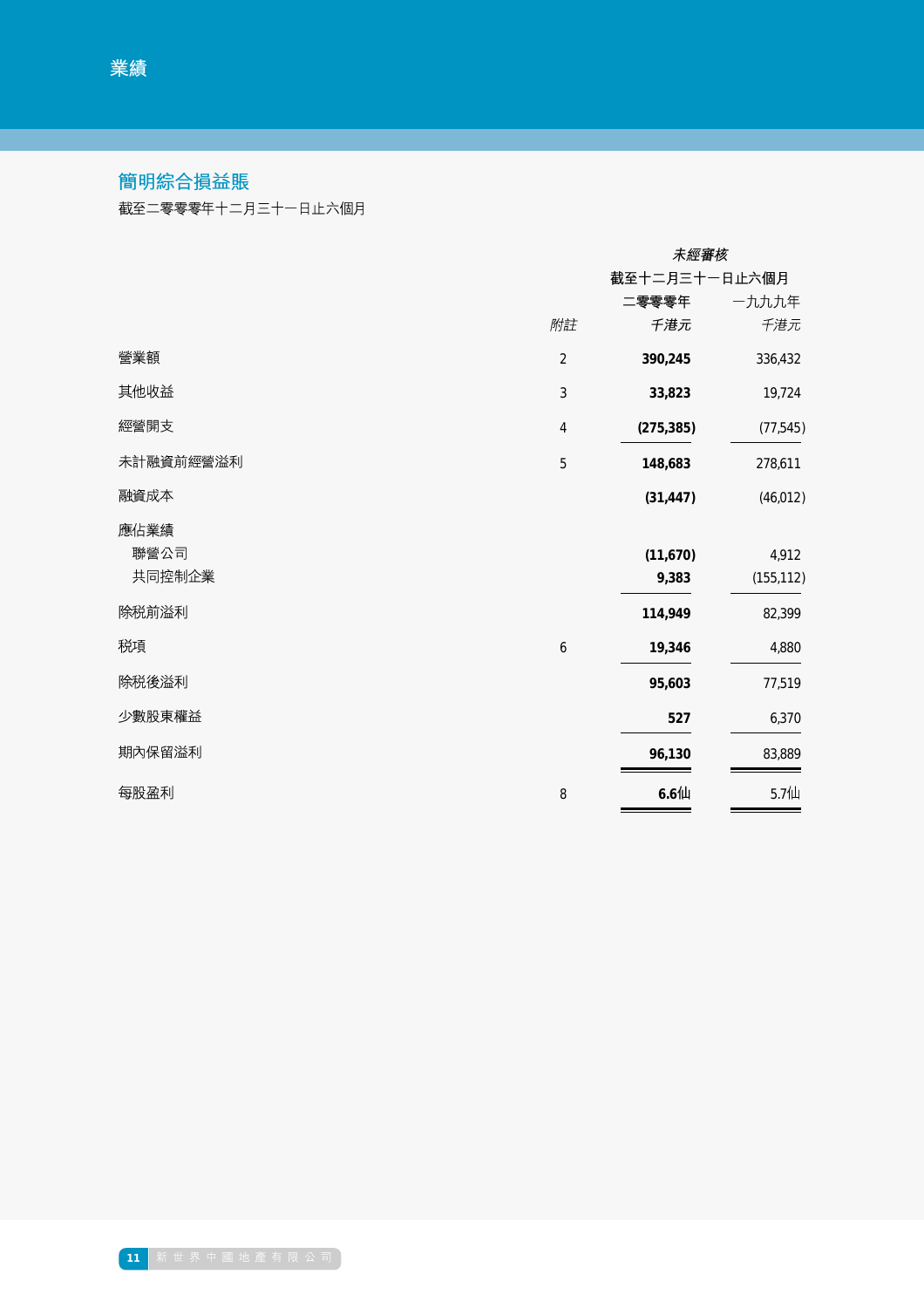# 簡明綜合損益賬

截至二零零零年十二月三十一日止六個月

|           |                | 未經審核          |            |  |
|-----------|----------------|---------------|------------|--|
|           |                | 截至十二月三十一日止六個月 |            |  |
|           |                | 二零零零年         | 一九九九年      |  |
|           | 附註             | 千港元           | 千港元        |  |
| 營業額       | $\overline{2}$ | 390,245       | 336,432    |  |
| 其他收益      | $\mathfrak{Z}$ | 33,823        | 19,724     |  |
| 經營開支      | $\sqrt{4}$     | (275, 385)    | (77, 545)  |  |
| 未計融資前經營溢利 | $\sqrt{5}$     | 148,683       | 278,611    |  |
| 融資成本      |                | (31, 447)     | (46, 012)  |  |
| 應佔業績      |                |               |            |  |
| 聯營公司      |                | (11,670)      | 4,912      |  |
| 共同控制企業    |                | 9,383         | (155, 112) |  |
| 除税前溢利     |                | 114,949       | 82,399     |  |
| 税項        | 6              | 19,346        | 4,880      |  |
| 除税後溢利     |                | 95,603        | 77,519     |  |
| 少數股東權益    |                | 527           | 6,370      |  |
| 期內保留溢利    |                | 96,130        | 83,889     |  |
| 每股盈利      | 8              | $6.6$ 仙       | 5.7仙       |  |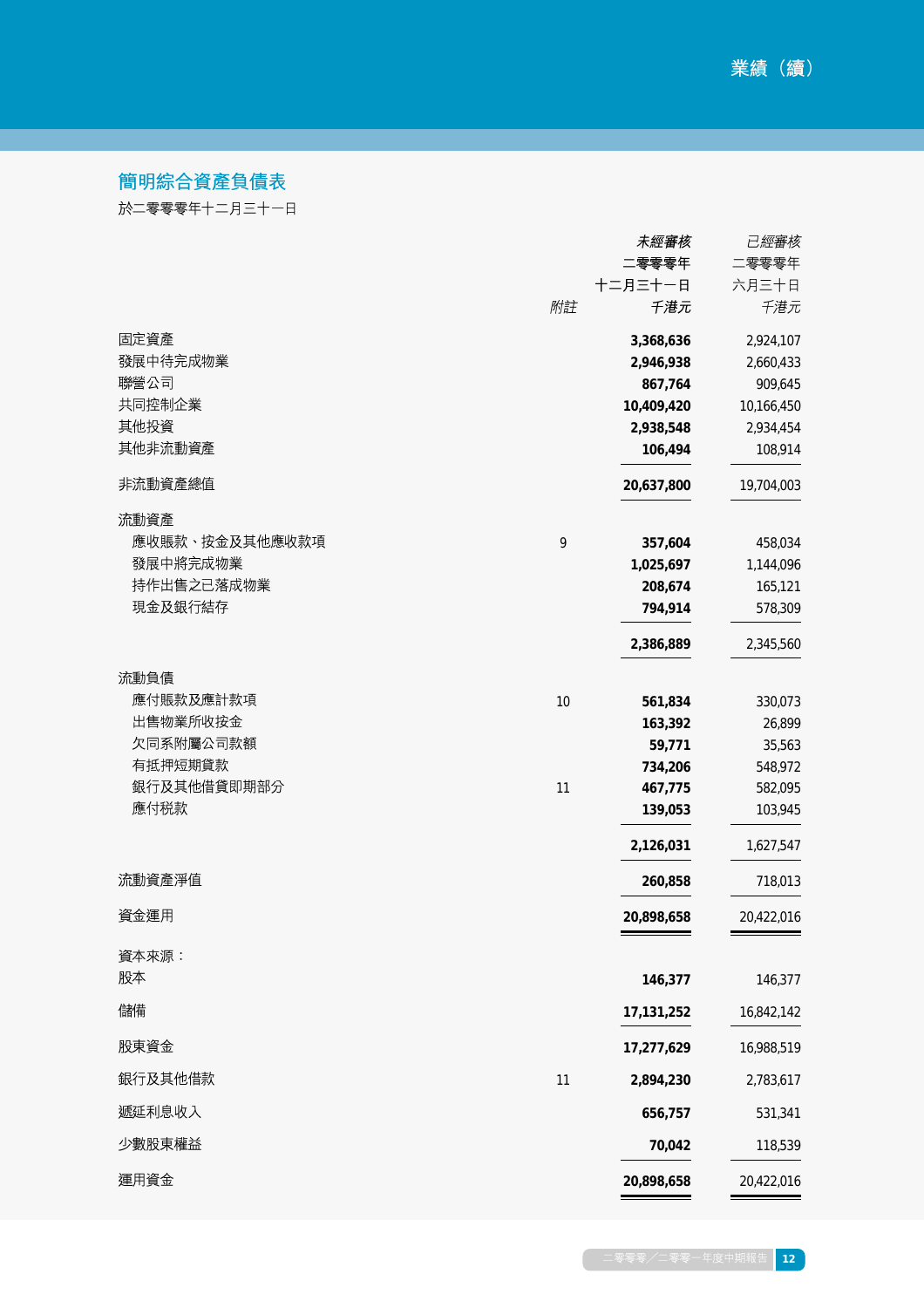# 簡明綜合資產負債表

於二零零零年十二月三十一日

|                |      | 未經審核       | 已經審核       |
|----------------|------|------------|------------|
|                |      | 二零零零年      | 二零零零年      |
|                |      | 十二月三十一日    | 六月三十日      |
|                | 附註   | 千港元        | 千港元        |
| 固定資產           |      | 3,368,636  | 2,924,107  |
| 發展中待完成物業       |      | 2,946,938  | 2,660,433  |
| 聯營公司           |      | 867,764    | 909,645    |
| 共同控制企業         |      | 10,409,420 | 10,166,450 |
| 其他投資           |      | 2,938,548  | 2,934,454  |
| 其他非流動資產        |      | 106,494    | 108,914    |
| 非流動資產總值        |      | 20,637,800 | 19,704,003 |
| 流動資產           |      |            |            |
| 應收賬款、按金及其他應收款項 | 9    | 357,604    | 458,034    |
| 發展中將完成物業       |      | 1,025,697  | 1,144,096  |
| 持作出售之已落成物業     |      | 208,674    | 165,121    |
| 現金及銀行結存        |      | 794,914    | 578,309    |
|                |      | 2,386,889  | 2,345,560  |
| 流動負債           |      |            |            |
| 應付賬款及應計款項      | $10$ | 561,834    | 330,073    |
| 出售物業所收按金       |      | 163,392    | 26,899     |
| 欠同系附屬公司款額      |      | 59,771     | 35,563     |
| 有抵押短期貸款        |      | 734,206    | 548,972    |
| 銀行及其他借貸即期部分    | 11   | 467,775    | 582,095    |
| 應付税款           |      | 139,053    | 103,945    |
|                |      | 2,126,031  | 1,627,547  |
| 流動資產淨值         |      | 260,858    | 718,013    |
| 資金運用           |      | 20,898,658 | 20,422,016 |
| 資本來源:          |      |            |            |
| 股本             |      | 146,377    | 146,377    |
| 儲備             |      | 17,131,252 | 16,842,142 |
| 股東資金           |      | 17,277,629 | 16,988,519 |
| 銀行及其他借款        | $11$ | 2,894,230  | 2,783,617  |
| 遞延利息收入         |      | 656,757    | 531,341    |
| 少數股東權益         |      | 70,042     | 118,539    |
| 運用資金           |      | 20,898,658 | 20,422,016 |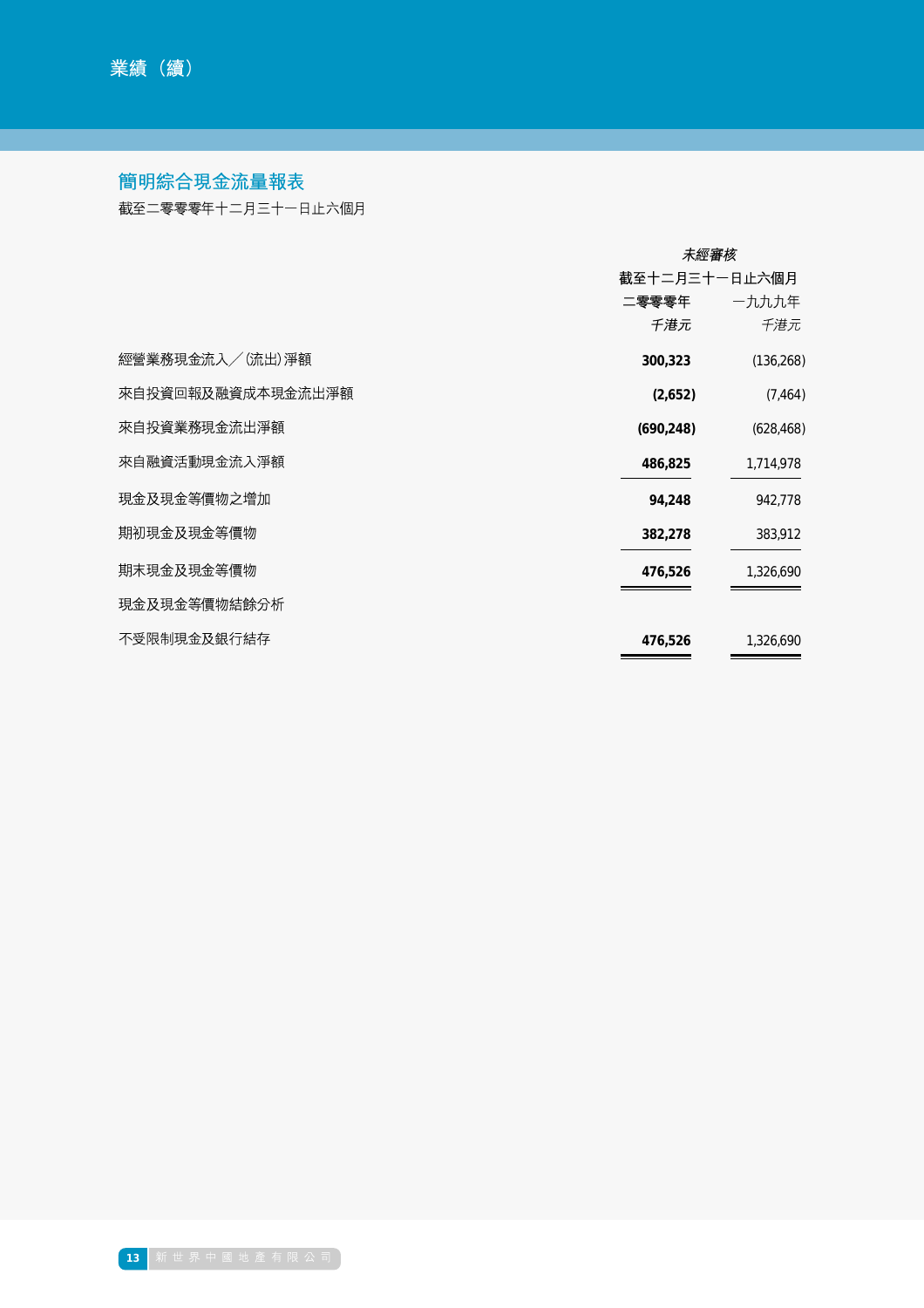# 簡明綜合現金流量報表

截至二零零零年十二月三十一日止六個月

|                   | 未經審核          |            |  |
|-------------------|---------------|------------|--|
|                   | 截至十二月三十一日止六個月 |            |  |
|                   | 二零零零年         | 一九九九年      |  |
|                   | 千港元           | 千港元        |  |
| 經營業務現金流入/(流出)淨額   | 300,323       | (136, 268) |  |
| 來自投資回報及融資成本現金流出淨額 | (2,652)       | (7, 464)   |  |
| 來自投資業務現金流出淨額      | (690, 248)    | (628, 468) |  |
| 來自融資活動現金流入淨額      | 486,825       | 1,714,978  |  |
| 現金及現金等價物之增加       | 94,248        | 942,778    |  |
| 期初現金及現金等價物        | 382,278       | 383,912    |  |
| 期末現金及現金等價物        | 476,526       | 1,326,690  |  |
| 現金及現金等價物結餘分析      |               |            |  |
| 不受限制現金及銀行結存       | 476,526       | 1,326,690  |  |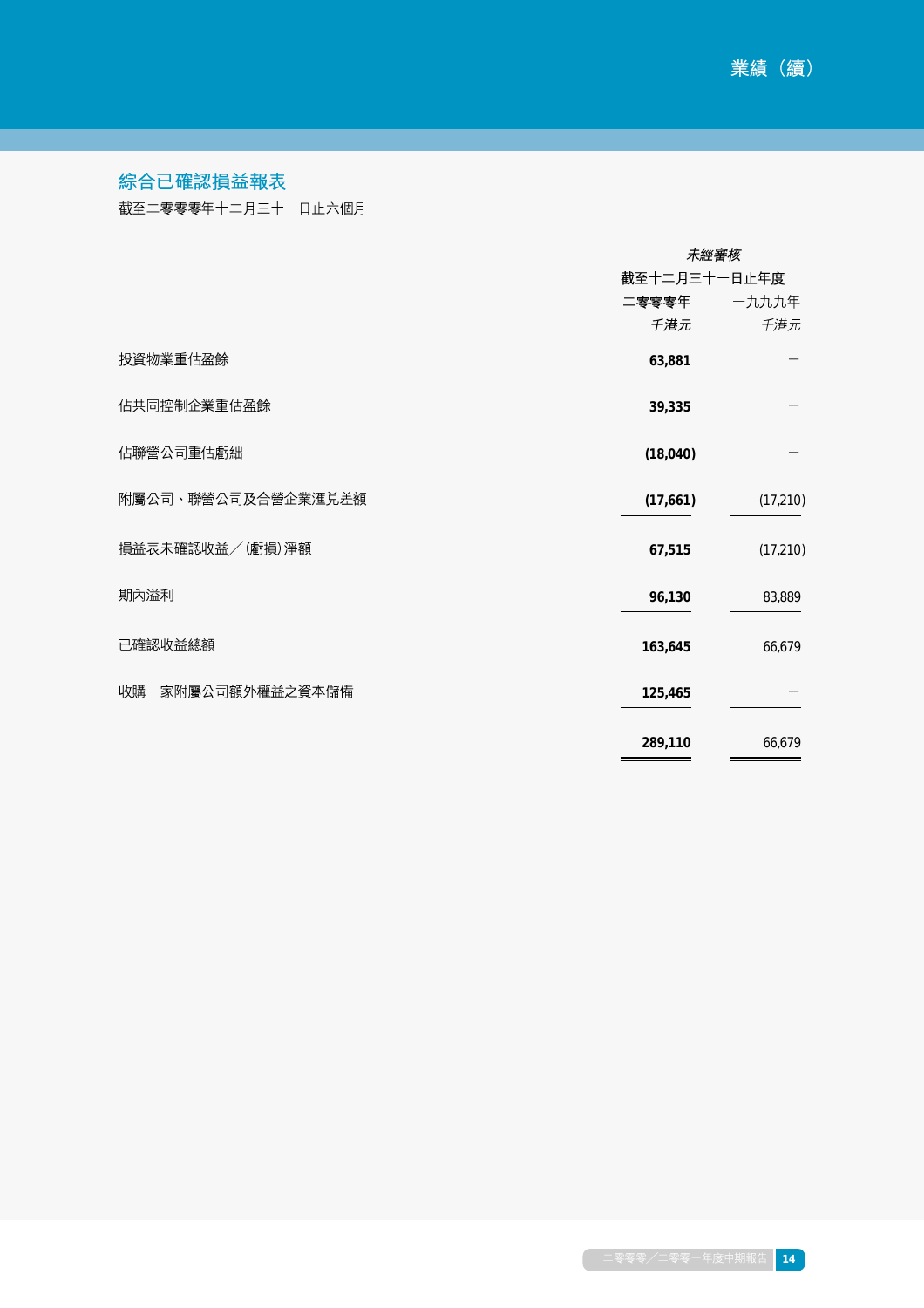# 綜合已確認損益報表

截至二零零零年十二月三十一日止六個月

|                    | 未經審核         |           |  |
|--------------------|--------------|-----------|--|
|                    | 截至十二月三十一日止年度 |           |  |
|                    | 二零零零年        | 一九九九年     |  |
|                    | 千港元          | 千港元       |  |
| 投資物業重估盈餘           | 63,881       |           |  |
| 佔共同控制企業重估盈餘        | 39,335       |           |  |
| 佔聯營公司重估虧絀          | (18,040)     |           |  |
| 附屬公司、聯營公司及合營企業滙兑差額 | (17,661)     | (17, 210) |  |
| 損益表未確認收益/ (虧損) 淨額  | 67,515       | (17, 210) |  |
| 期內溢利               | 96,130       | 83,889    |  |
| 已確認收益總額            | 163,645      | 66,679    |  |
| 收購一家附屬公司額外權益之資本儲備  | 125,465      |           |  |
|                    | 289,110      | 66,679    |  |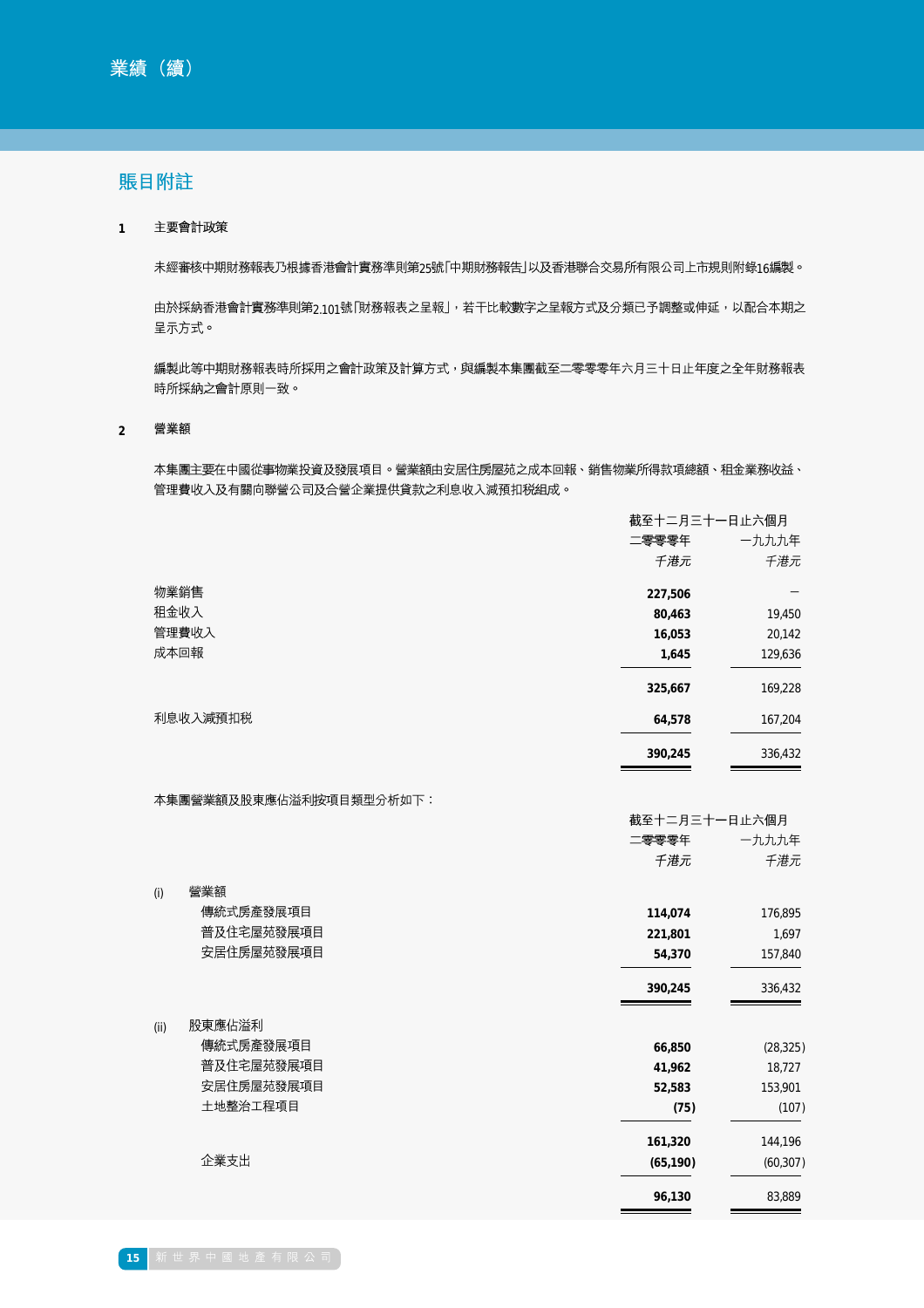## 賬目附註

主要會計政策 **1**

未經審核中期財務報表乃根據香港會計實務準則第25號「中期財務報告」以及香港聯合交易所有限公司上市規則附錄16編製。

由於採納香港會計實務準則第2.101號「財務報表之呈報」,若干比較數字之呈報方式及分類已予調整或伸延,以配合本期之 呈示方式。

編製此等中期財務報表時所採用之會計政策及計算方式,與編製本集團截至二零零零年六月三十日止年度之全年財務報表 時所採納之會計原則一致。

營業額 **2**

> 本集團主要在中國從事物業投資及發展項目。營業額由安居住房屋苑之成本回報、銷售物業所得款項總額、租金業務收益、 管理費收入及有關向聯營公司及合營企業提供貸款之利息收入減預扣税組成。

|          | 截至十二月三十一日止六個月 |         |
|----------|---------------|---------|
|          | 二零零零年         | 一九九九年   |
|          | 千港元           | 千港元     |
| 物業銷售     | 227,506       |         |
| 沮金收入     | 80,463        | 19,450  |
| 管理費收入    | 16,053        | 20,142  |
| 成本回報     | 1,645         | 129,636 |
|          | 325,667       | 169,228 |
| 利息收入減預扣税 | 64,578        | 167,204 |
|          | 390,245       | 336,432 |

 $\Box$   $\Box$   $\Box$   $\Box$   $\Box$   $\Box$   $\Box$ 

本集團營業額及股東應佔溢利按項目類型分析如下:

| 11  12  エーカニエーロエム アンバル |           |  |
|------------------------|-----------|--|
| 二零零零年                  | 一九九九年     |  |
| 千港元                    | 千港元       |  |
|                        |           |  |
| 114,074                | 176,895   |  |
| 221,801                | 1,697     |  |
| 54,370                 | 157,840   |  |
| 390,245                | 336,432   |  |
|                        |           |  |
| 66,850                 | (28, 325) |  |
| 41,962                 | 18,727    |  |
| 52,583                 | 153,901   |  |
| (75)                   | (107)     |  |
| 161,320                | 144,196   |  |
| (65, 190)              | (60, 307) |  |
| 96,130                 | 83,889    |  |
|                        |           |  |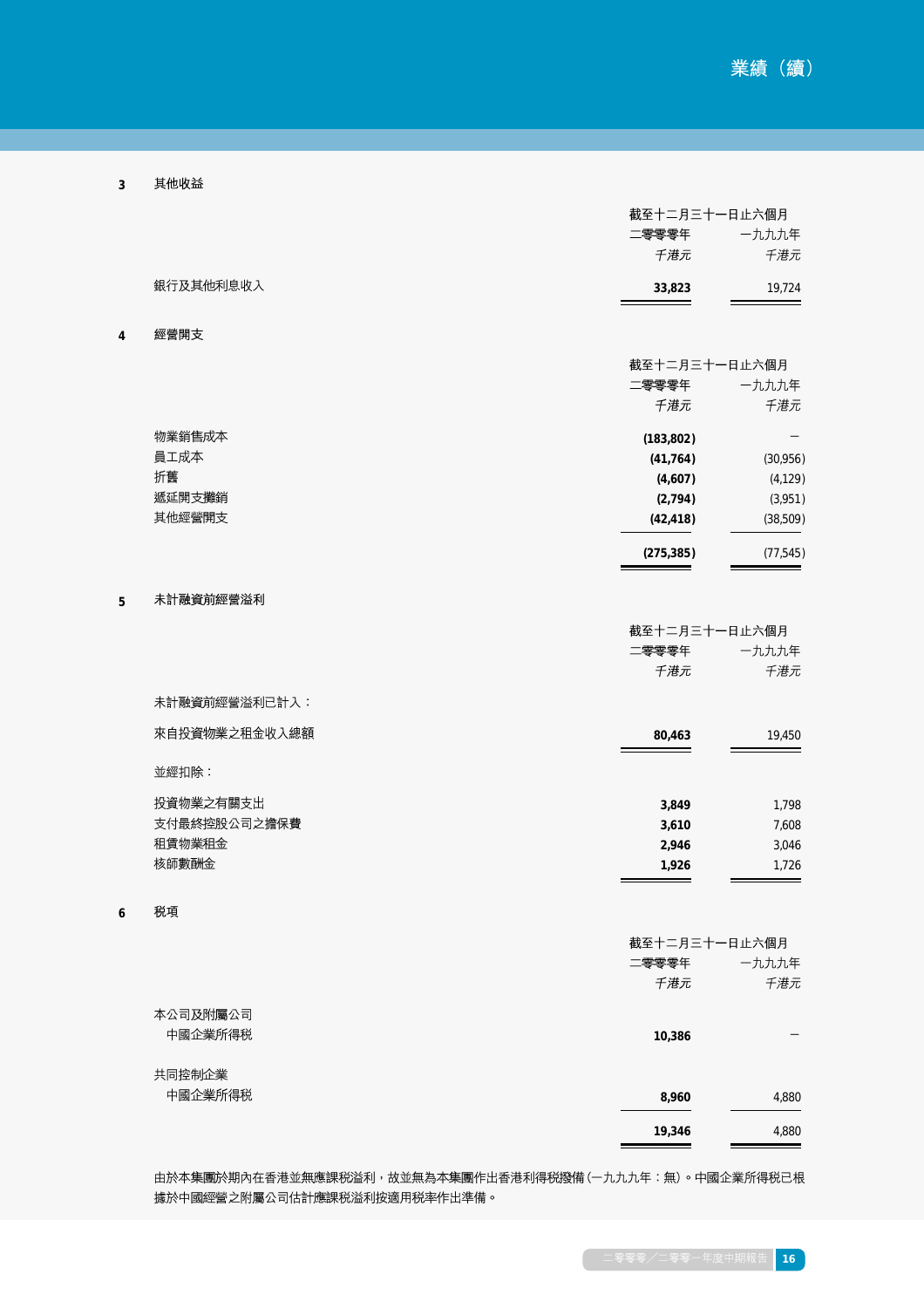| 3 | 其他收益 |
|---|------|
|   |      |

**4**

**5**

**6**

|               | 截至十二月三十一日止六個月 |           |
|---------------|---------------|-----------|
|               | 二零零零年         | 一九九九年     |
|               | 千港元           | 千港元       |
| 銀行及其他利息收入     | 33,823        | 19,724    |
| 經營開支          |               |           |
|               | 截至十二月三十一日止六個月 |           |
|               | 二零零零年         | 一九九九年     |
|               | 千港元           | 千港元       |
| 物業銷售成本        | (183, 802)    |           |
| 員工成本          | (41, 764)     | (30,956)  |
| 折舊            | (4,607)       | (4, 129)  |
| 遞延開支攤銷        | (2,794)       | (3,951)   |
| 其他經營開支        | (42, 418)     | (38, 509) |
|               | (275, 385)    | (77, 545) |
| 未計融資前經營溢利     |               |           |
|               | 截至十二月三十一日止六個月 |           |
|               | 二零零零年         | 一九九九年     |
|               | 千港元           | 千港元       |
| 未計融資前經營溢利已計入: |               |           |
| 來自投資物業之租金收入總額 | 80,463        | 19,450    |
| 並經扣除:         |               |           |
| 投資物業之有關支出     | 3,849         | 1,798     |
| 支付最終控股公司之擔保費  | 3,610         | 7,608     |
| 租賃物業租金        | 2,946         | 3,046     |
| 核師數酬金         | 1,926         | 1,726     |
| 税項            |               |           |
|               | 截至十二月三十一日止六個月 |           |
|               | 二零零零年         | 一九九九年     |
|               | 千港元           | 千港元       |
| 本公司及附屬公司      |               |           |
| 中國企業所得税       | 10,386        |           |
| 共同控制企業        |               |           |
| 中國企業所得税       | 8,960         | 4,880     |
|               | 19,346        | 4,880     |

由於本集團於期內在香港並無應課税溢利,故並無為本集團作出香港利得税撥備 (一九九九年:無) 。中國企業所得税已根 據於中國經營之附屬公司估計應課税溢利按適用税率作出準備。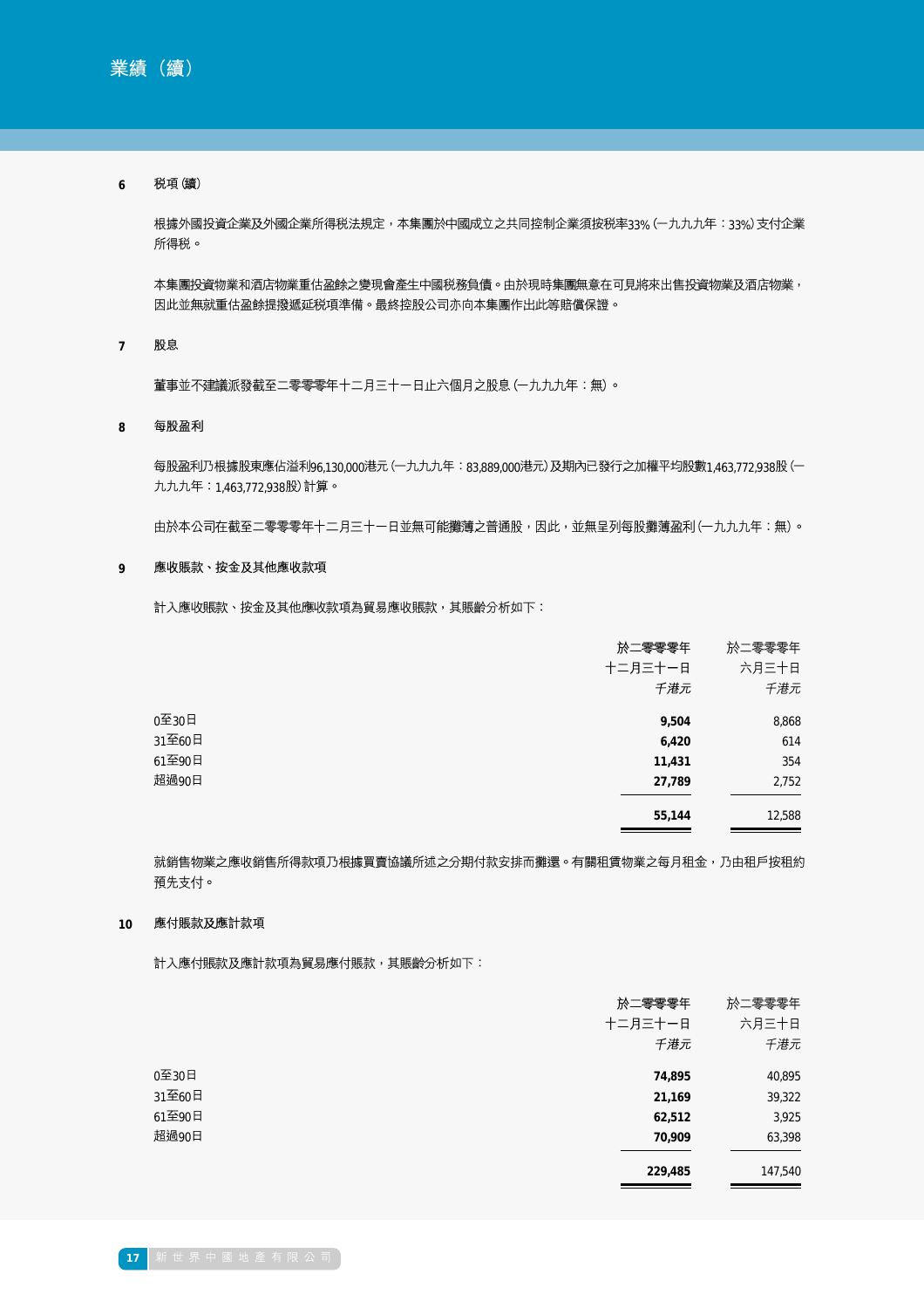#### 税項(續) **6**

根據外國投資企業及外國企業所得税法規定,本集團於中國成立之共同控制企業須按税率33% (一九九九年:33%) 支付企業 所得税。

本集團投資物業和酒店物業重估盈餘之變現會產生中國税務負債。由於現時集團無意在可見將來出售投資物業及酒店物業, 因此並無就重估盈餘提撥遞延税項準備。最終控股公司亦向本集團作出此等賠償保證。

股息 **7**

董事並不建議派發截至二零零零年十二月三十一日止六個月之股息 (一九九九年:無)。

#### 每股盈利 **8**

每股盈利乃根據股東應佔溢利96,130,000港元 (一九九九年:83,889,000港元) 及期內已發行之加權平均股數1,463,772,938股 (一 九九九年:1,463,772,938股)計算。

由於本公司在截至二零零零年十二月三十一日並無可能攤薄之普通股,因此,並無呈列每股攤薄盈利 (一九九九年:無) 。

#### **9** 應收賬款、按金及其他應收款項

計入應收賬款、按金及其他應收款項為貿易應收賬款,其賬齡分析如下:

|        | 於二零零零年  | 於二零零零年 |
|--------|---------|--------|
|        | 十二月三十一日 | 六月三十日  |
|        | 千港元     | 千港元    |
| 0至30日  | 9,504   | 8,868  |
| 31至60日 | 6,420   | 614    |
| 61至90日 | 11,431  | 354    |
| 超過90日  | 27,789  | 2,752  |
|        | 55,144  | 12,588 |

就銷售物業之應收銷售所得款項乃根據買賣協議所述之分期付款安排而攤還。有關租賃物業之每月租金,乃由租戶按租約 預先支付。

#### **10** 應付賬款及應計款項

計入應付賬款及應計款項為貿易應付賬款,其賬齡分析如下:

|        | 於二零零零年  | 於二零零零年  |
|--------|---------|---------|
|        | 十二月三十一日 | 六月三十日   |
|        | 千港元     | 千港元     |
| 0至30日  | 74,895  | 40,895  |
| 31至60日 | 21,169  | 39,322  |
| 61至90日 | 62,512  | 3,925   |
| 超過90日  | 70,909  | 63,398  |
|        | 229,485 | 147,540 |
|        |         |         |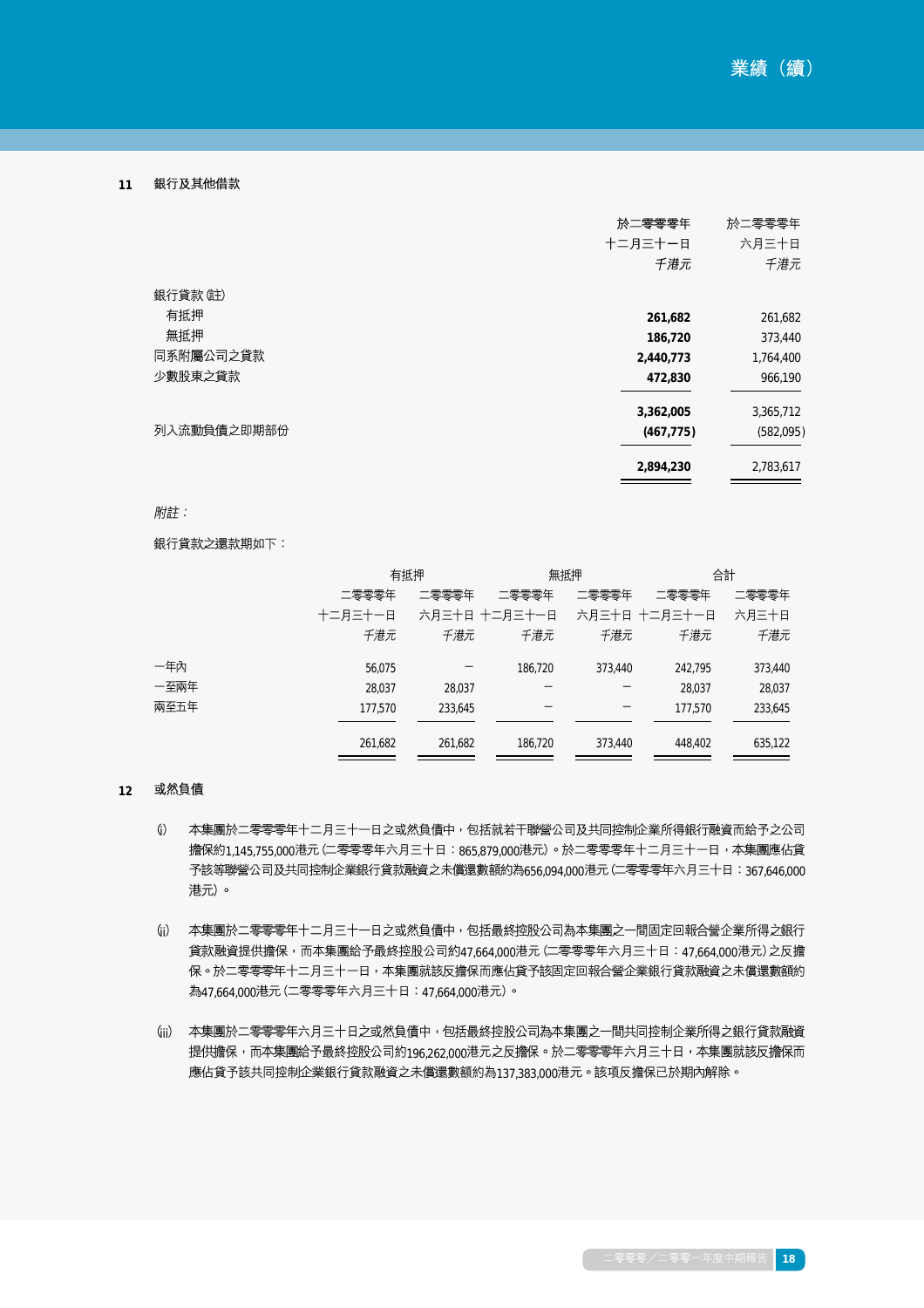#### 銀行及其他借款 **11**

|             | 於二零零零年     | 於二零零零年    |
|-------------|------------|-----------|
|             | 十二月三十一日    | 六月三十日     |
|             | 千港元        | 千港元       |
| 銀行貸款(註)     |            |           |
| 有抵押         | 261,682    | 261,682   |
| 無抵押         | 186,720    | 373,440   |
| 同系附屬公司之貸款   | 2,440,773  | 1,764,400 |
| 少數股東之貸款     | 472,830    | 966,190   |
|             | 3,362,005  | 3,365,712 |
| 列入流動負債之即期部份 | (467, 775) | (582,095) |
|             | 2,894,230  | 2,783,617 |

## 附註:

銀行貸款之還款期如下:

|      |         | 有抵押     |                             | 無抵押     |         | 合計      |
|------|---------|---------|-----------------------------|---------|---------|---------|
|      | 二零零零年   | 二零零零年   | 二零零零年                       | 二零零零年   | 二零零零年   | 二零零零年   |
|      | 十二月三十一日 |         | 六月三十日 十二月三十一日 六月三十日 十二月三十一日 |         |         | 六月三十日   |
|      | 千港元     | 千港元     | 千港元                         | 千港元     | 千港元     | 千港元     |
| 一年內  | 56,075  |         | 186,720                     | 373,440 | 242.795 | 373,440 |
| 一至兩年 | 28.037  | 28,037  |                             |         | 28,037  | 28,037  |
| 兩至五年 | 177,570 | 233,645 |                             |         | 177.570 | 233,645 |
|      | 261,682 | 261,682 | 186,720                     | 373,440 | 448.402 | 635,122 |

#### **12** 或然負債

- $(i)$ 本集團於二零零零年十二月三十一日之或然負債中,包括就若干聯營公司及共同控制企業所得銀行融資而給予之公司 擔保約1.145.755,000港元 (二零零零年六月三十日:865.879,000港元)。於二零零零年十二月三十一日,本集團應佔貸 予該等聯營公司及共同控制企業銀行貸款融資之未償還數額約為656,094,000港元 (二零零零年六月三十日:367,646,000 港元)。
- (ji) 本集團於二零零零年十二月三十一日之或然負債中,包括最終控股公司為本集團之一間固定回報合營企業所得之銀行 貸款融資提供擔保,而本集團給予最終控股公司約47,664,000港元 (二零零零年六月三十日: 47,664,000港元) 之反擔 保。於二零零零年十二月三十一日,本集團就該反擔保而應佔貸予該固定回報合營企業銀行貸款融資之未償還數額約 為47.664.000港元 (二零零零年六月三十日:47.664.000港元)。
- (jii) 本集團於二零零零年六月三十日之或然負債中,包括最終控股公司為本集團之一間共同控制企業所得之銀行貸款融資 提供擔保,而本集團給予最終控股公司約196.262.000港元之反擔保。於二零零零年六月三十日,本集團就該反擔保而 應佔貸予該共同控制企業銀行貸款融資之未償還數額約為137,383,000港元。該項反擔保已於期內解除。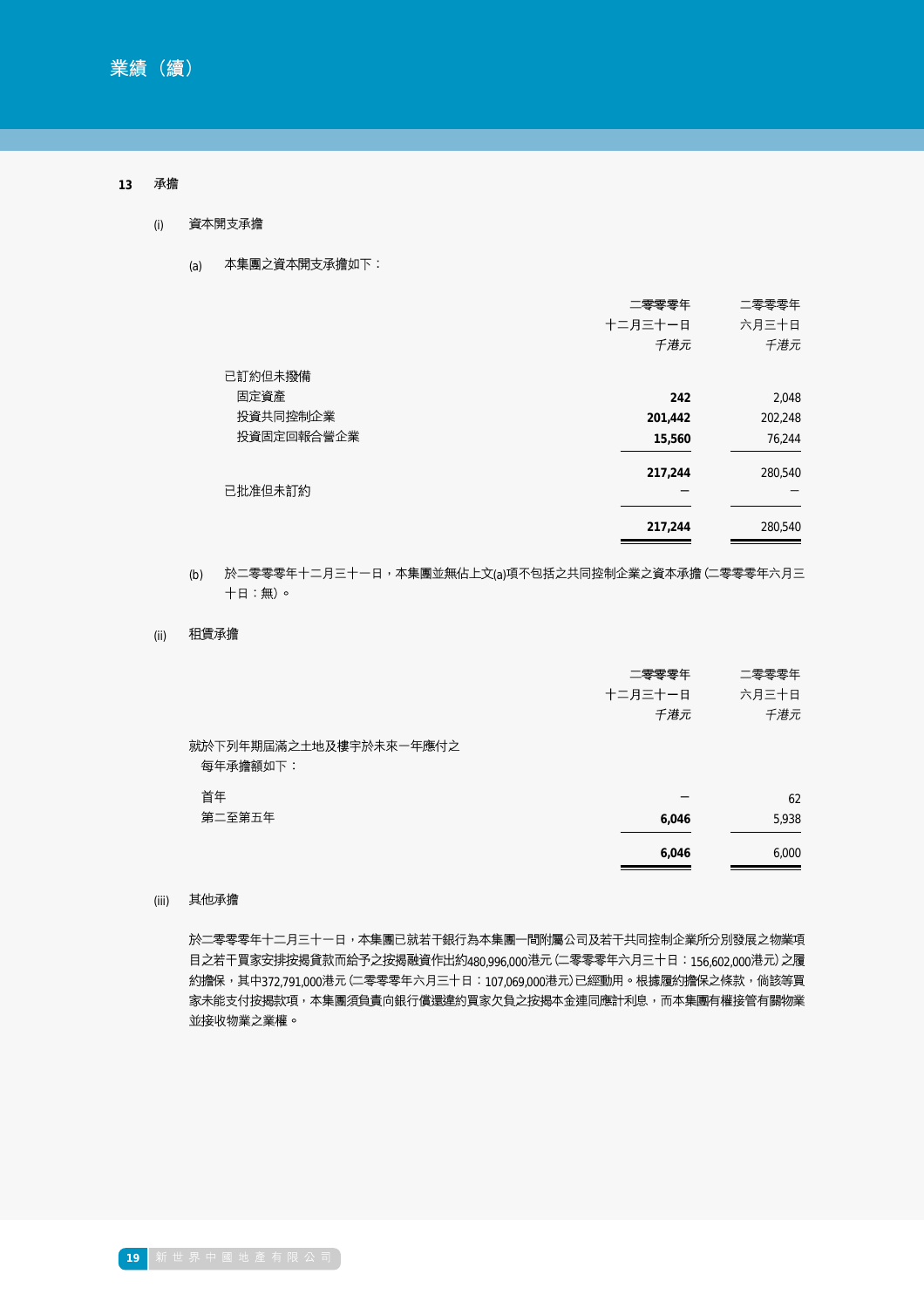#### 承擔 **13**

- 資本開支承擔 (i)
	- 本集團之資本開支承擔如下: (a)

|            | 二零零零年   | 二零零零年   |
|------------|---------|---------|
|            | 十二月三十一日 | 六月三十日   |
|            | 千港元     | 千港元     |
| 已訂約但未撥備    |         |         |
| 固定資產       | 242     | 2,048   |
| 投資共同控制企業   | 201,442 | 202,248 |
| 投資固定回報合營企業 | 15,560  | 76,244  |
|            | 217,244 | 280,540 |
| 已批准但未訂約    |         |         |
|            | 217,244 | 280,540 |

## (b) 於二零零零年十二月三十一日,本集團並無佔上文(a)項不包括之共同控制企業之資本承擔 (二零零零年六月三 十日:無)。

租賃承擔 (ii)

|                                    | 二零零零年<br>十二月三十一日<br>千港元 | 二零零零年<br>六月三十日<br>千港元 |
|------------------------------------|-------------------------|-----------------------|
| 就於下列年期屆滿之土地及樓宇於未來一年應付之<br>每年承擔額如下: |                         |                       |
| 首年                                 |                         | 62                    |
| 第二至第五年                             | 6,046                   | 5,938                 |
|                                    | 6,046                   | 6,000                 |

#### 其他承擔 (iii)

於二零零零年十二月三十一日,本集團已就若干銀行為本集團一間附屬公司及若干共同控制企業所分別發展之物業項 目之若干買家安排按揭貸款而給予之按揭融資作出約480,996,000港元 (二零零零年六月三十日: 156,602,000港元) 之履 約擔保,其中372,791,000港元 (二零零零年六月三十日:107,069,000港元) 已經動用。根據履約擔保之條款,倘該等買 家未能支付按揭款項,本集團須負責向銀行償還違約買家欠負之按揭本金連同應計利息,而本集團有權接管有關物業 並接收物業之業權。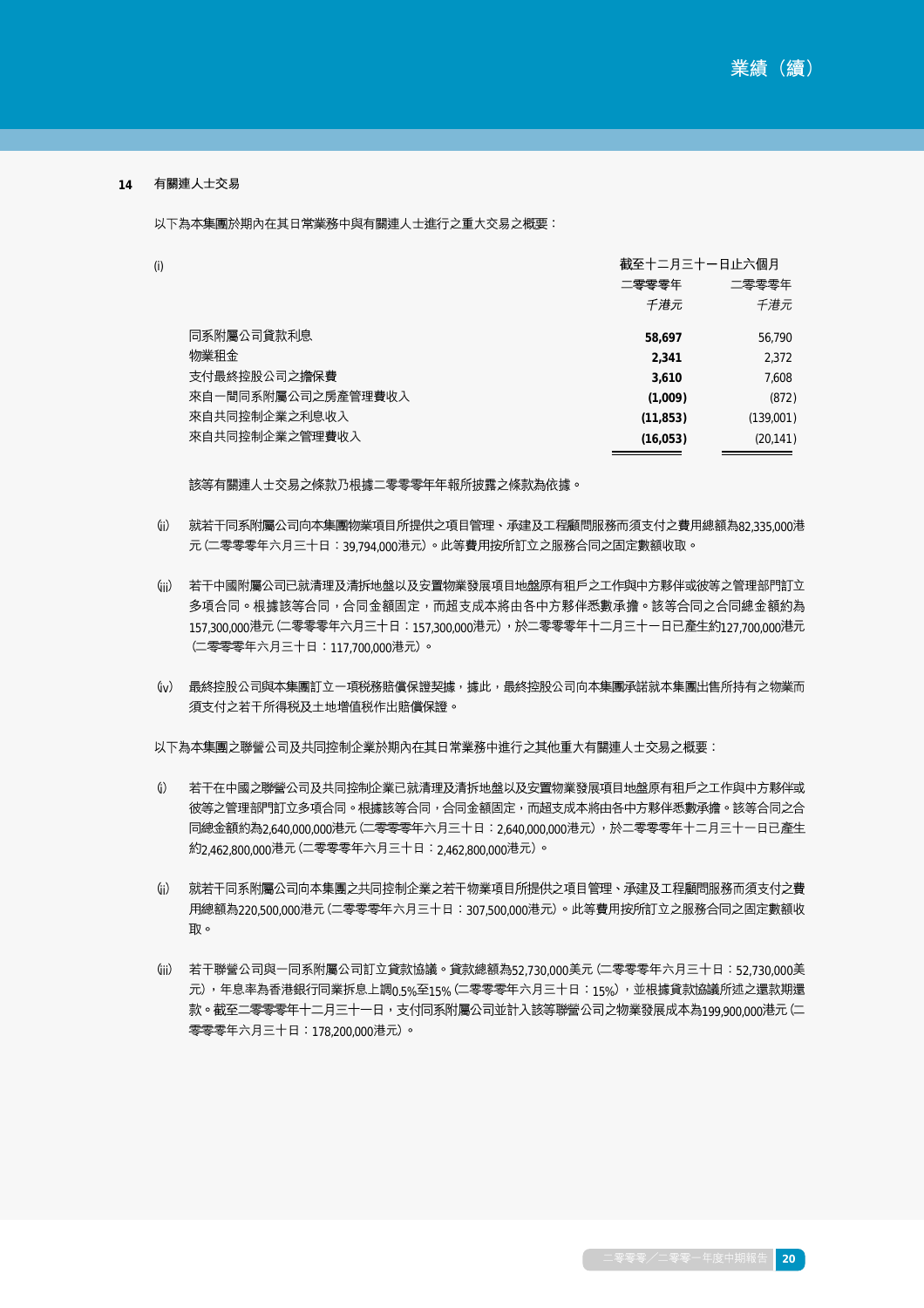#### 有關連人士交易 **14**

(i)

以下為本集團於期內在其日常業務中與有關連人士進行之重大交易之概要:

|                    | 截至十二月三十一日止六個月 |           |
|--------------------|---------------|-----------|
|                    | 二零零零年         | 二零零零年     |
|                    | 千港元           | 千港元       |
| 同系附屬公司貸款利息         | 58.697        | 56.790    |
| 物業和金               | 2,341         | 2,372     |
| 支付最終控股公司之擔保費       | 3,610         | 7.608     |
| 來自一間同系附屬公司之房產管理費收入 | (1,009)       | (872)     |
| 來自共同控制企業之利息收入      | (11, 853)     | (139,001) |
| 來自共同控制企業之管理費收入     | (16, 053)     | (20, 141) |
|                    |               |           |

該等有關連人士交易之條款乃根據二零零零年年報所披露之條款為依據。

- (j) 就若干同系附屬公司向本集團物業項目所提供之項目管理、承建及工程顧問服務而須支付之費用總額為82.335,000港 元 (二零零零年六月三十日:39.794 000港元)。此等費用按所訂立之服務合同之固定數額收取。
- (iii) 若干中國附屬公司已就清理及清拆地盤以及安置物業發展項目地盤原有租戶之工作與中方夥伴或彼等之管理部門訂立 多項合同。根據該等合同,合同金額固定,而超支成本將由各中方夥伴悉數承擔。該等合同之合同總金額約為 157,300,000港元 (二零零零年六月三十日:157,300,000港元),於二零零零年十二月三十一日已產生約127,700,000港元 (二零零零年六月三十日:117,700,000港元)。
- (jv) 最終控股公司與本集團訂立一項税務賠償保證契據,據此,最終控股公司向本集團承諾就本集團出售所持有之物業而 須支付之若干所得税及土地增值税作出賠償保證。

以下為本集團之聯營公司及共同控制企業於期內在其日常業務中進行之其他重大有關連人士交易之概要:

- $(i)$ 若干在中國之聯營公司及共同控制企業已就清理及清拆地盤以及安置物業發展項目地盤原有租戶之工作與中方夥伴或 彼等之管理部門訂立多項合同。根據該等合同,合同金額固定,而超支成本將由各中方夥伴悉數承擔。該等合同之合 同總金額約為2,640,000,000港元 (二零零零年六月三十日:2,640,000,000港元),於二零零零年十二月三十一日已產生 約2,462,800,000港元 (二零零零年六月三十日:2,462,800,000港元)。
- (ji) 就若干同系附屬公司向本集團之共同控制企業之若干物業項目所提供之項目管理、承建及工程顧問服務而須支付之費 用總額為220,500,000港元 (二零零零年六月三十日:307,500,000港元)。此等費用按所訂立之服務合同之固定數額收 取。
- (jii) 若干聯營公司與一同系附屬公司訂立貸款協議。貸款總額為52,730,000美元 (二零零零年六月三十日:52,730,000美 元),年息率為香港銀行同業拆息上調0.5%至15% (二零零零年六月三十日:15%) ,並根據貸款協議所述之還款期還 款。截至二零零零年十二月三十一日,支付同系附屬公司並計入該等聯營公司之物業發展成本為199,900,000港元(二 零零零年六月三十日:178,200,000港元)。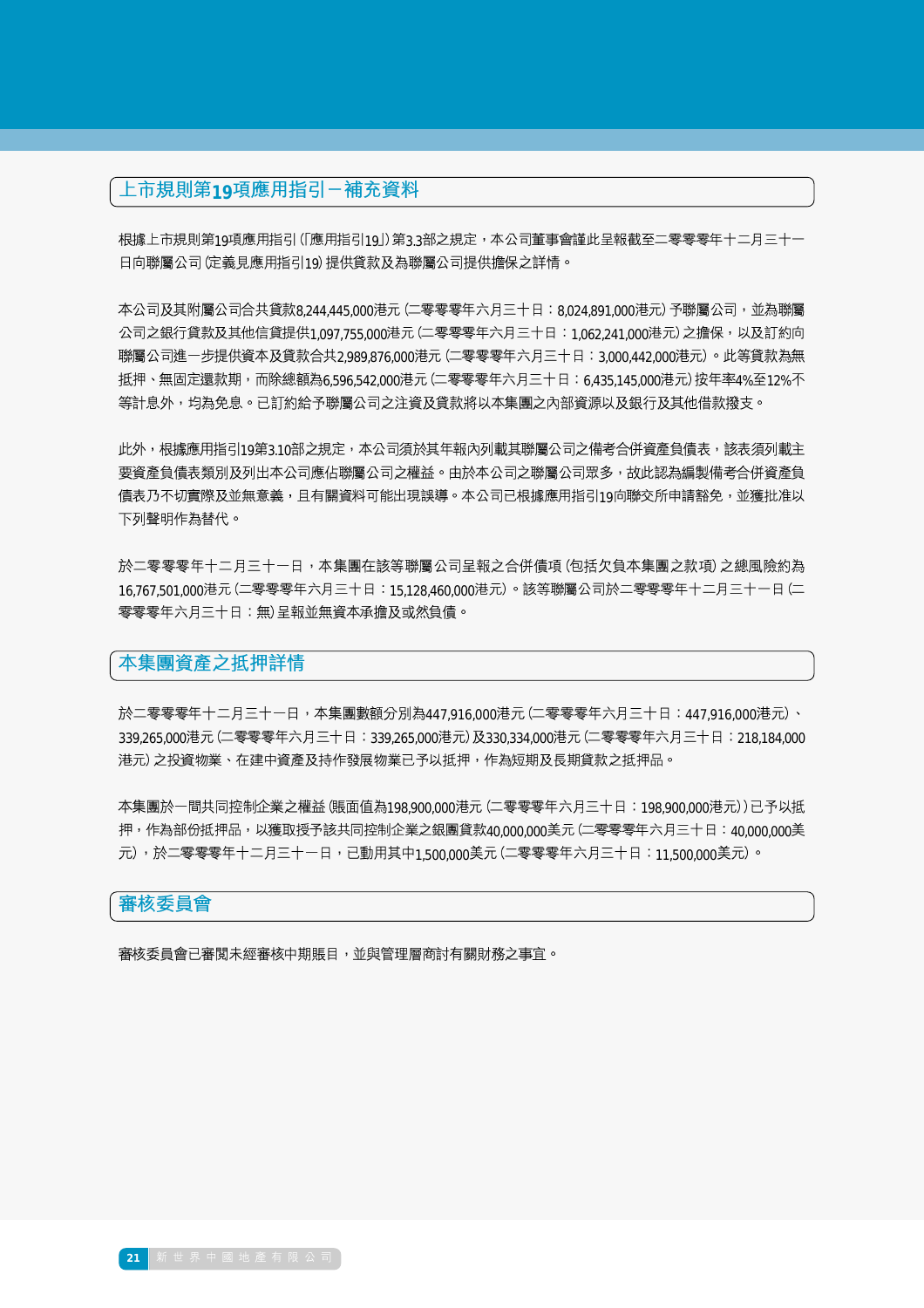# 上市規則第19項應用指引一補充資料

根據上市規則第19項應用指引 (「應用指引19|)第3.3部之規定,本公司董事會謹此呈報截至二零零零年十二月三十一 日向聯屬公司(定義見應用指引19)提供貸款及為聯屬公司提供擔保之詳情。

本公司及其附屬公司合共貸款8.244.445.000港元(二零零零年六月三十日:8.024.891.000港元)予聯屬公司,並為聯屬 公司之銀行貸款及其他信貸提供1,097.755,000港元 (二零零零年六月三十日:1,062.241,000港元) 之擔保,以及訂約向 聯屬公司進一步提供資本及貸款合共2,989,876,000港元 (二零零零年六月三十日:3,000,442,000港元)。此等貸款為無 抵押、無固定還款期,而除總額為6.596.542 000港元 (二零零零年六月三十日:6.435.145,000港元) 按年率4%至12%不 等計息外,均為免息。已訂約給予聯屬公司之注資及貸款將以本集團之內部資源以及銀行及其他借款撥支。

此外,根據應用指引19第3.10部之規定,本公司須於其年報內列載其聯屬公司之備考合併資產負債表,該表須列載主 要資產負債表類別及列出本公司應佔聯屬公司之權益。由於本公司之聯屬公司眾多,故此認為編製備考合併資產負 債表乃不切實際及並無意義,且有關資料可能出現誤導。本公司已根據應用指引19向聯交所申請豁免,並獲批准以 下列聲明作為替代。

於二零零零年十二月三十一日,本集團在該等聯屬公司呈報之合併債項 (包括欠負本集團之款項) 之總風險約為 16,767,501,000港元 (二零零零年六月三十日:15,128,460,000港元) 。該等聯屬公司於二零零零年十二月三十一日 (二 零零零年六月三十日:無)呈報並無資本承擔及或然負債。

## 本集團資產之抵押詳情

於二零零零年十二月三十一日,本集團數額分別為447,916.000港元 (二零零零年六月三十日:447,916.000港元)、 339,265,000港元(二零零零年六月三十日:339,265,000港元)及330,334,000港元(二零零零年六月三十日:218,184,000 港元)之投資物業、在建中資產及持作發展物業已予以抵押,作為短期及長期貸款之抵押品。

本集團於一間共同控制企業之權益 (賬面值為198.900.000港元 (二零零零年六月三十日:198.900.000港元)) 已予以抵 押,作為部份抵押品,以獲取授予該共同控制企業之銀團貸款40,000,000美元(二零零零年六月三十日:40,000,000美 元),於二零零零年十二月三十一日,已動用其中1,500,000美元 (二零零零年六月三十日:11,500,000美元)。

## 審核委員會

審核委員會已審閲未經審核中期賬目,並與管理層商討有關財務之事宜。